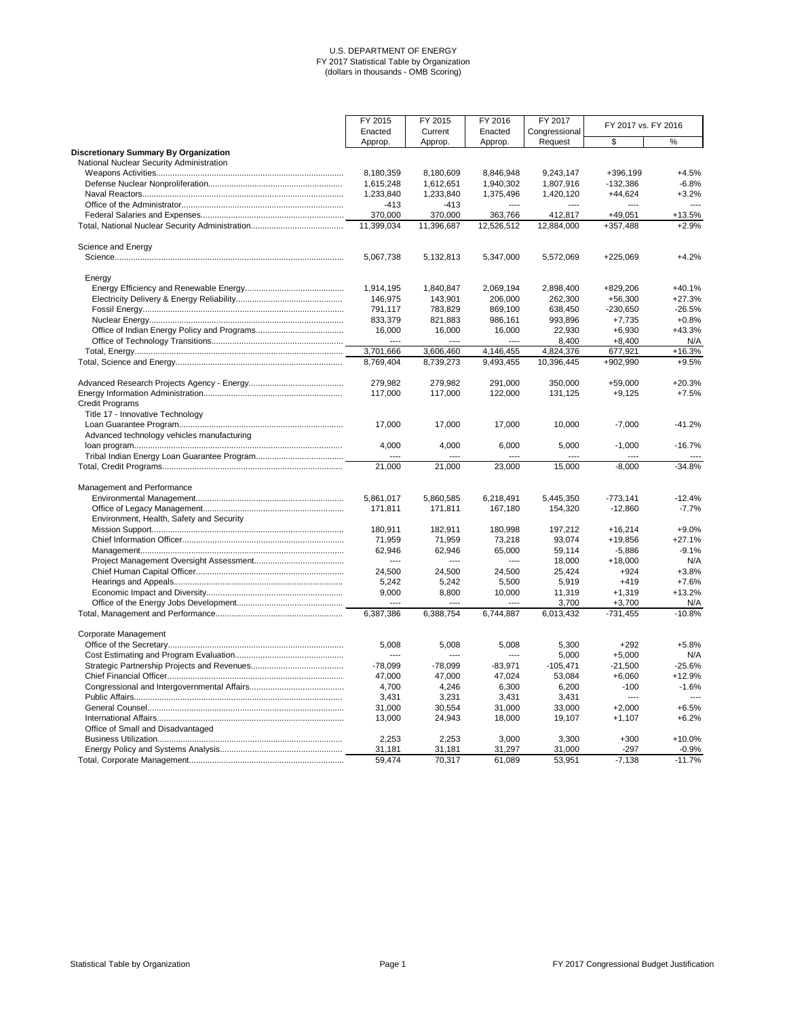|                                              | FY 2015<br>FY 2015         | FY 2016            | FY 2017               | FY 2017 vs. FY 2016 |                        |                 |
|----------------------------------------------|----------------------------|--------------------|-----------------------|---------------------|------------------------|-----------------|
|                                              | Enacted                    | Current            | Enacted               | Congressional       |                        |                 |
|                                              | Approp.                    | Approp.            | Approp.               | Request             | \$                     | $\%$            |
| <b>Discretionary Summary By Organization</b> |                            |                    |                       |                     |                        |                 |
| National Nuclear Security Administration     | 8,180,359                  | 8,180,609          | 8,846,948             | 9,243,147           | +396,199               | $+4.5%$         |
|                                              | 1,615,248                  | 1,612,651          | 1,940,302             | 1,807,916           | $-132,386$             | $-6.8%$         |
|                                              | 1,233,840                  | 1,233,840          | 1,375,496             | 1,420,120           | $+44,624$              | $+3.2%$         |
|                                              | $-413$                     | $-413$             | $---$                 | $---$               | ----                   | $---$           |
|                                              | 370,000                    | 370,000            | 363,766               | 412,817             | $+49,051$              | $+13.5%$        |
|                                              | 11,399,034                 | 11,396,687         | 12,526,512            | 12,884,000          | +357,488               | $+2.9%$         |
|                                              |                            |                    |                       |                     |                        |                 |
| Science and Energy                           |                            |                    |                       |                     |                        |                 |
|                                              | 5,067,738                  | 5,132,813          | 5,347,000             | 5,572,069           | +225,069               | $+4.2%$         |
| Energy                                       |                            |                    |                       |                     |                        |                 |
|                                              | 1,914,195                  | 1,840,847          | 2,069,194             | 2,898,400           | +829,206               | $+40.1%$        |
|                                              | 146,975                    | 143,901            | 206,000               | 262,300             | $+56,300$              | $+27.3%$        |
|                                              | 791,117                    | 783,829            | 869,100               | 638,450             | $-230,650$             | $-26.5%$        |
|                                              | 833,379                    | 821,883            | 986,161               | 993,896             | $+7,735$               | $+0.8%$         |
|                                              | 16,000                     | 16,000             | 16,000                | 22,930              | $+6,930$               | $+43.3%$        |
|                                              | $---$                      | ----               | ----                  | 8,400               | $+8,400$               | N/A             |
|                                              | 3,701,666                  | 3,606,460          | 4,146,455             | 4,824,376           | 677,921                | $+16.3%$        |
|                                              | 8,769,404                  | 8,739,273          | 9,493,455             | 10,396,445          | +902,990               | $+9.5%$         |
|                                              | 279,982                    | 279,982            | 291,000               | 350,000             | $+59,000$              | $+20.3%$        |
|                                              | 117,000                    | 117,000            | 122,000               | 131,125             | $+9,125$               | $+7.5%$         |
| <b>Credit Programs</b>                       |                            |                    |                       |                     |                        |                 |
| Title 17 - Innovative Technology             |                            |                    |                       |                     |                        |                 |
|                                              | 17,000                     | 17,000             | 17,000                | 10,000              | $-7,000$               | $-41.2%$        |
| Advanced technology vehicles manufacturing   |                            |                    |                       |                     |                        |                 |
|                                              | 4,000                      | 4,000              | 6,000                 | 5,000               | $-1,000$               | $-16.7%$        |
|                                              | $---$                      | ----               | ----                  | ----                | ----                   |                 |
|                                              | 21,000                     | 21,000             | 23,000                | 15,000              | $-8,000$               | $-34.8\%$       |
|                                              |                            |                    |                       |                     |                        |                 |
| Management and Performance                   |                            |                    |                       |                     |                        |                 |
|                                              | 5,861,017                  | 5,860,585          | 6,218,491             | 5,445,350           | $-773,141$             | $-12.4%$        |
|                                              | 171,811                    | 171,811            | 167,180               | 154,320             | $-12,860$              | $-7.7%$         |
| Environment, Health, Safety and Security     |                            |                    |                       |                     |                        |                 |
|                                              | 180,911                    | 182,911            | 180,998               | 197,212             | $+16,214$              | $+9.0%$         |
|                                              | 71,959                     | 71,959             | 73,218                | 93,074              | +19,856                | $+27.1%$        |
|                                              | 62,946                     | 62,946             | 65,000                | 59,114              | $-5,886$               | $-9.1%$         |
|                                              | $\cdots$                   | ----               | $\cdots$              | 18,000              | $+18,000$              | N/A             |
|                                              | 24,500                     | 24,500             | 24,500                | 25,424              | $+924$                 | $+3.8%$         |
|                                              | 5,242                      | 5,242              | 5,500                 | 5,919               | $+419$                 | $+7.6%$         |
|                                              | 9,000                      | 8,800              | 10,000                | 11,319              | $+1,319$               | $+13.2%$        |
|                                              | $\frac{1}{2}$<br>6,387,386 | $---$<br>6,388,754 | $\cdots$<br>6,744,887 | 3,700<br>6,013,432  | $+3,700$<br>$-731,455$ | N/A<br>$-10.8%$ |
|                                              |                            |                    |                       |                     |                        |                 |
| Corporate Management                         |                            |                    |                       |                     |                        |                 |
|                                              | 5,008                      | 5,008              | 5,008                 | 5,300               | $+292$                 | $+5.8%$         |
|                                              | $\cdots$                   | ----               | $\cdots$              | 5,000               | $+5,000$               | N/A             |
|                                              | $-78,099$                  | $-78,099$          | $-83,971$             | $-105,471$          | $-21,500$              | $-25.6%$        |
|                                              | 47,000                     | 47,000             | 47,024                | 53,084              | $+6,060$               | $+12.9%$        |
|                                              | 4,700                      | 4,246              | 6,300                 | 6,200               | $-100$                 | $-1.6%$         |
|                                              | 3,431                      | 3,231              | 3,431                 | 3,431               | ----                   |                 |
|                                              | 31,000                     | 30,554             | 31,000                | 33,000              | $+2,000$               | $+6.5%$         |
|                                              | 13,000                     | 24,943             | 18,000                | 19,107              | $+1,107$               | $+6.2%$         |
| Office of Small and Disadvantaged            |                            |                    |                       |                     |                        |                 |
|                                              | 2,253                      | 2,253              | 3,000                 | 3,300               | $+300$                 | $+10.0%$        |
| <b>Energy Policy and Systems Analysis</b>    | 31 181                     | 31 181             | 31 297                | 31,000              | $-297$                 | $-0.9%$         |

| .<br><b>VIIVV</b><br>. .                        | $\cdots$ | . |      | .           |     | <u>J.VIU</u> |
|-------------------------------------------------|----------|---|------|-------------|-----|--------------|
| ∣ota<br>,<br>ornc<br>man.<br>⊇gemen∟<br>ч.<br>. | .<br>.   | . | .089 | $\sim$<br>. | 138 | 70,          |

Statistical Table by Organization **Page 1** Page 1 Page 1 **Page 1** FY 2017 Congressional Budget Justification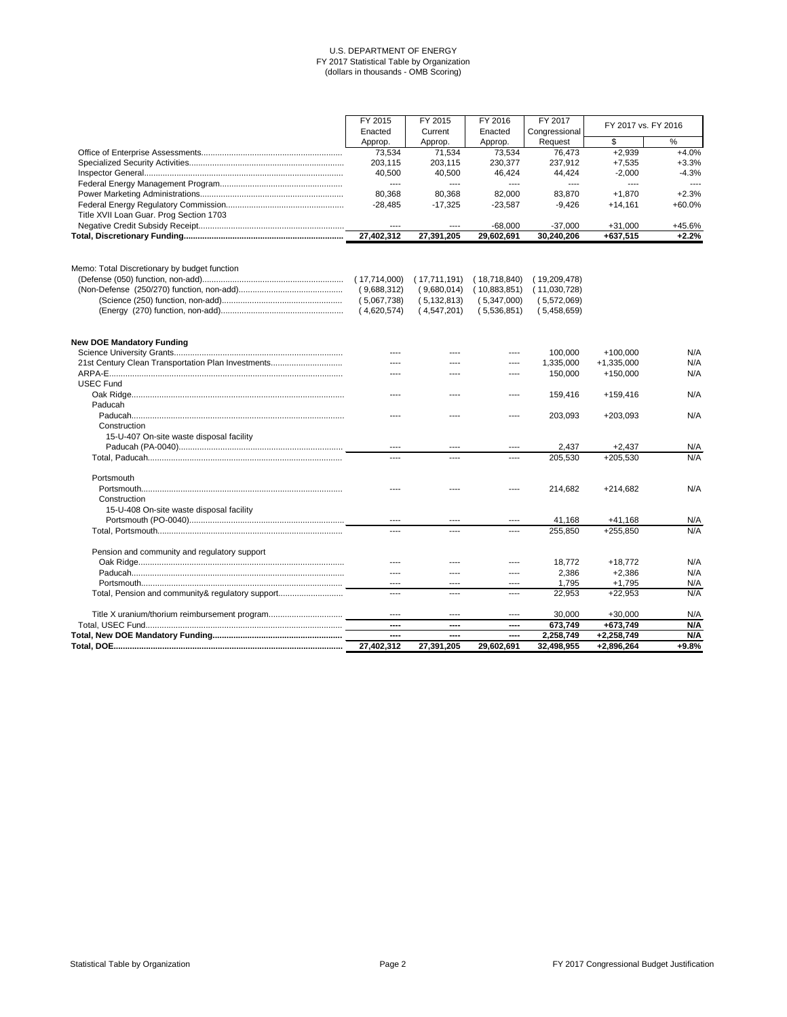|                                                    | FY 2015       | FY 2015       | FY 2016      | FY 2017       |                     |               |  |
|----------------------------------------------------|---------------|---------------|--------------|---------------|---------------------|---------------|--|
|                                                    | Enacted       | Current       | Enacted      | Congressional | FY 2017 vs. FY 2016 |               |  |
|                                                    | Approp.       | Approp.       | Approp.      | Request       | \$                  | $\frac{1}{2}$ |  |
|                                                    | 73,534        | 71,534        | 73,534       | 76,473        | $+2,939$            | $+4.0%$       |  |
|                                                    | 203,115       | 203,115       | 230,377      | 237,912       | $+7,535$            | $+3.3%$       |  |
|                                                    | 40,500        | 40,500        | 46,424       | 44,424        | $-2,000$            | $-4.3%$       |  |
|                                                    | $---$         | ----          | ----         | ----          | ----                | $---$         |  |
|                                                    | 80,368        | 80,368        | 82,000       | 83,870        | $+1,870$            | $+2.3%$       |  |
|                                                    | $-28,485$     | $-17,325$     | $-23,587$    | $-9,426$      | $+14,161$           | +60.0%        |  |
| Title XVII Loan Guar. Prog Section 1703            |               |               |              |               |                     |               |  |
|                                                    | $\cdots$      | $---$         | $-68,000$    | $-37,000$     | $+31,000$           | +45.6%        |  |
|                                                    | 27,402,312    | 27,391,205    | 29,602,691   | 30,240,206    | +637,515            | $+2.2%$       |  |
|                                                    |               |               |              |               |                     |               |  |
| Memo: Total Discretionary by budget function       |               |               |              |               |                     |               |  |
|                                                    | (17,714,000)  | (17,711,191)  | (18,718,840) | (19,209,478)  |                     |               |  |
|                                                    | (9,688,312)   | (9,680,014)   | (10,883,851) | (11,030,728)  |                     |               |  |
|                                                    | (5,067,738)   | (5, 132, 813) | (5,347,000)  | (5,572,069)   |                     |               |  |
|                                                    | (4,620,574)   | (4,547,201)   | (5,536,851)  | (5,458,659)   |                     |               |  |
| <b>New DOE Mandatory Funding</b>                   |               |               |              |               |                     |               |  |
|                                                    |               |               |              | 100,000       | $+100,000$          | N/A           |  |
| 21st Century Clean Transportation Plan Investments | ----          |               | ----         | 1,335,000     | $+1,335,000$        | N/A           |  |
|                                                    | ----          |               | ----         | 150,000       | $+150,000$          | N/A           |  |
| <b>USEC Fund</b>                                   |               |               |              |               |                     |               |  |
|                                                    | ----          | ----          | ----         | 159,416       | $+159,416$          | N/A           |  |
| Paducah                                            |               |               |              |               |                     |               |  |
|                                                    | ----          |               | ----         | 203,093       | $+203,093$          | N/A           |  |
| Construction                                       |               |               |              |               |                     |               |  |
| 15-U-407 On-site waste disposal facility           |               |               |              |               |                     |               |  |
|                                                    | $\cdots$      | ----          | ----         | 2,437         | $+2,437$            | N/A           |  |
|                                                    | ----          | ----          | ----         | 205,530       | $+205,530$          | N/A           |  |
| Portsmouth                                         |               |               |              |               |                     |               |  |
|                                                    |               |               |              | 214,682       | $+214,682$          | N/A           |  |
| Construction                                       |               |               |              |               |                     |               |  |
| 15-U-408 On-site waste disposal facility           |               |               |              |               |                     |               |  |
|                                                    | $\frac{1}{2}$ |               | ----         | 41,168        | $+41,168$           | N/A           |  |
|                                                    | $\cdots$      | ----          | ----         | 255,850       | +255,850            | N/A           |  |
| Pension and community and regulatory support       |               |               |              |               |                     |               |  |
|                                                    |               |               |              | 18,772        | $+18,772$           | N/A           |  |
|                                                    | $- - -$       |               |              | 2,386         | $+2,386$            | N/A           |  |
|                                                    | $---$         |               | ----         | 1,795         | $+1,795$            | N/A           |  |
| Total, Pension and community& regulatory support   | ----          | ----          | ----         | 22,953        | $+22,953$           | N/A           |  |
| Title X uranium/thorium reimbursement program      | $---$         | ----          | ----         | 30,000        | $+30,000$           | N/A           |  |
|                                                    | ----          | ----          | ----         | 673,749       | +673,749            | N/A           |  |
|                                                    | ----          | ----          | ----         | 2,258,749     | +2,258,749          | N/A           |  |
|                                                    | 27,402,312    | 27,391,205    | 29,602,691   | 32,498,955    | +2,896,264          | $+9.8%$       |  |

Statistical Table by Organization **Page 2** Page 2 **Page 2** FY 2017 Congressional Budget Justification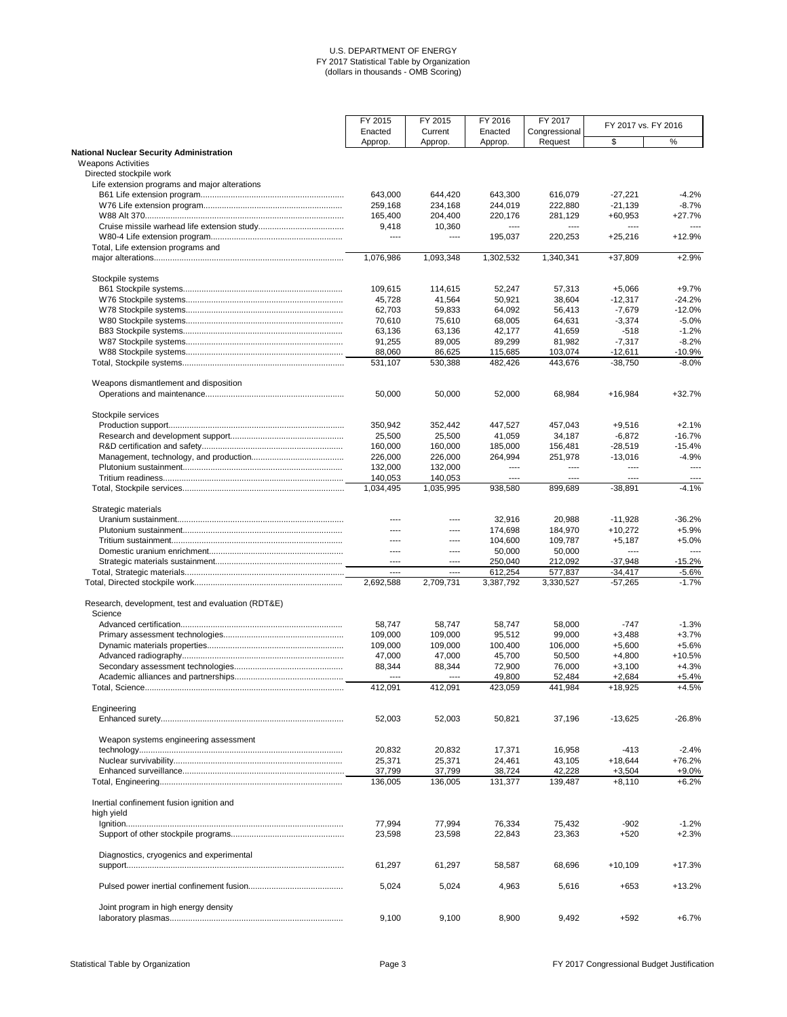|                                                                              | FY 2015              | FY 2015              | FY 2016          | FY 2017          | FY 2017 vs. FY 2016  |                     |
|------------------------------------------------------------------------------|----------------------|----------------------|------------------|------------------|----------------------|---------------------|
|                                                                              | Enacted              | Current              | Enacted          | Congressional    |                      |                     |
|                                                                              | Approp.              | Approp.              | Approp.          | Request          | \$                   | $\%$                |
| <b>National Nuclear Security Administration</b><br><b>Weapons Activities</b> |                      |                      |                  |                  |                      |                     |
| Directed stockpile work                                                      |                      |                      |                  |                  |                      |                     |
| Life extension programs and major alterations                                |                      |                      |                  |                  |                      |                     |
|                                                                              | 643,000              | 644,420              | 643,300          | 616,079          | $-27,221$            | $-4.2%$             |
|                                                                              | 259,168              | 234,168              | 244,019          | 222,880          | $-21,139$            | $-8.7%$             |
|                                                                              | 165,400              | 204,400              | 220,176          | 281,129          | $+60,953$            | $+27.7%$            |
|                                                                              | 9,418                | 10,360               | ----             | ----             | ----                 | ----                |
|                                                                              | $---$                | $---$                | 195,037          | 220,253          | $+25,216$            | $+12.9%$            |
| Total, Life extension programs and                                           |                      |                      |                  |                  |                      |                     |
|                                                                              | 1,076,986            | 1,093,348            | 1,302,532        | 1,340,341        | $+37,809$            | $+2.9%$             |
|                                                                              |                      |                      |                  |                  |                      |                     |
| Stockpile systems                                                            |                      |                      |                  |                  |                      |                     |
|                                                                              | 109,615              | 114,615              | 52,247           | 57,313           | $+5,066$             | $+9.7%$             |
|                                                                              | 45,728               | 41,564               | 50,921           | 38,604           | $-12,317$            | $-24.2%$            |
|                                                                              | 62,703               | 59,833               | 64,092           | 56,413           | $-7,679$             | $-12.0%$            |
|                                                                              | 70,610               | 75,610               | 68,005           | 64,631           | $-3,374$             | $-5.0%$             |
|                                                                              | 63,136               | 63,136               | 42,177           | 41,659           | $-518$               | $-1.2%$             |
|                                                                              | 91,255               | 89,005               | 89,299           | 81,982           | $-7,317$             | $-8.2%$             |
|                                                                              | 88,060               | 86,625               | 115,685          | 103,074          | $-12,611$            | $-10.9%$            |
|                                                                              | 531,107              | 530,388              | 482,426          | 443,676          | $-38,750$            | $-8.0%$             |
| Weapons dismantlement and disposition                                        |                      |                      |                  |                  |                      |                     |
|                                                                              | 50,000               | 50,000               | 52,000           | 68,984           | $+16,984$            | $+32.7%$            |
|                                                                              |                      |                      |                  |                  |                      |                     |
| Stockpile services                                                           |                      |                      |                  |                  |                      |                     |
|                                                                              | 350,942              | 352,442              | 447,527          | 457,043          | $+9,516$             | $+2.1%$             |
|                                                                              | 25,500               | 25,500               | 41,059           | 34,187           | $-6,872$             | $-16.7%$            |
|                                                                              | 160,000              | 160,000              | 185,000          | 156,481          | $-28,519$            | $-15.4%$            |
|                                                                              | 226,000              | 226,000              | 264,994          | 251,978          | $-13,016$            | $-4.9%$             |
|                                                                              | 132,000              | 132,000              | ----             | ----             | ----                 | $\cdots$            |
|                                                                              | 140,053<br>1,034,495 | 140,053<br>1,035,995 | ----<br>938,580  | ----<br>899,689  | ----<br>$-38,891$    | $\cdots$<br>$-4.1%$ |
|                                                                              |                      |                      |                  |                  |                      |                     |
| Strategic materials                                                          |                      |                      |                  |                  |                      |                     |
|                                                                              | ----                 | ----                 | 32,916           | 20,988           | $-11,928$            | $-36.2%$            |
|                                                                              | ----                 | ----                 | 174,698          | 184,970          | $+10,272$            | $+5.9%$             |
|                                                                              | ----                 | ----                 | 104,600          | 109,787          | $+5,187$             | $+5.0%$             |
|                                                                              | $---$                | $\cdots$             | 50,000           | 50,000           | ----                 | $\cdots$            |
|                                                                              | $---$                | $\cdots$             | 250,040          | 212,092          | $-37,948$            | $-15.2%$            |
|                                                                              | $\cdots$             | $---$                | 612,254          | 577,837          | $-34,417$            | $-5.6%$             |
|                                                                              | 2,692,588            | 2,709,731            | 3,387,792        | 3,330,527        | $-57,265$            | $-1.7%$             |
|                                                                              |                      |                      |                  |                  |                      |                     |
| Research, development, test and evaluation (RDT&E)<br>Science                |                      |                      |                  |                  |                      |                     |
|                                                                              | 58,747               | 58,747               | 58,747           | 58,000           | $-747$               | $-1.3%$             |
|                                                                              | 109,000              | 109,000              | 95,512           | 99,000           | $+3,488$             | $+3.7%$             |
|                                                                              | 109,000              | 109,000              |                  |                  |                      | $+5.6%$             |
|                                                                              |                      |                      | 100,400          | 106,000          | $+5,600$             |                     |
|                                                                              | 47,000               | 47,000               | 45,700           | 50,500           | $+4,800$             | $+10.5%$            |
|                                                                              | 88,344<br>----       | 88,344               | 72,900<br>49,800 | 76,000<br>52,484 | $+3,100$<br>$+2,684$ | $+4.3%$<br>$+5.4%$  |
|                                                                              | 412,091              | ----<br>412,091      | 423,059          | 441,984          | $+18,925$            | $+4.5%$             |
|                                                                              |                      |                      |                  |                  |                      |                     |
| Engineering                                                                  |                      |                      |                  |                  |                      |                     |
|                                                                              | 52,003               | 52,003               | 50,821           | 37,196           | $-13,625$            | $-26.8%$            |
| Weapon systems engineering assessment                                        |                      |                      |                  |                  |                      |                     |
|                                                                              | 20,832               | 20,832               | 17,371           | 16,958           | $-413$               | $-2.4%$             |
|                                                                              | 25,371               | 25,371               | 24,461           | 43,105           | $+18,644$            | $+76.2%$            |
|                                                                              | 37,799               | 37,799               | 38,724           | 42,228           | $+3,504$             | $+9.0%$             |
|                                                                              | 136,005              | 136,005              | 131,377          | 139,487          | $+8,110$             | $+6.2%$             |
|                                                                              |                      |                      |                  |                  |                      |                     |
| Inertial confinement fusion ignition and                                     |                      |                      |                  |                  |                      |                     |
| high yield                                                                   |                      |                      |                  |                  |                      |                     |
|                                                                              | 77,994               | 77,994               | 76,334           | 75,432           | $-902$               | $-1.2%$             |
|                                                                              | 23,598               | 23,598               | 22,843           | 23,363           | $+520$               | $+2.3%$             |
|                                                                              |                      |                      |                  |                  |                      |                     |
| Diagnostics, cryogenics and experimental                                     |                      |                      |                  |                  |                      |                     |
|                                                                              | 61,297               | 61,297               | 58,587           | 68,696           | $+10,109$            | $+17.3%$            |
|                                                                              |                      |                      |                  |                  |                      |                     |
|                                                                              | 5,024                | 5,024                | 4,963            | 5,616            | $+653$               | $+13.2%$            |
| Joint program in high energy density                                         |                      |                      |                  |                  |                      |                     |
|                                                                              | 9,100                | 9,100                | 8,900            | 9,492            | $+592$               | $+6.7%$             |
|                                                                              |                      |                      |                  |                  |                      |                     |

Statistical Table by Organization **Page 3** Page 3 **Page 3** FY 2017 Congressional Budget Justification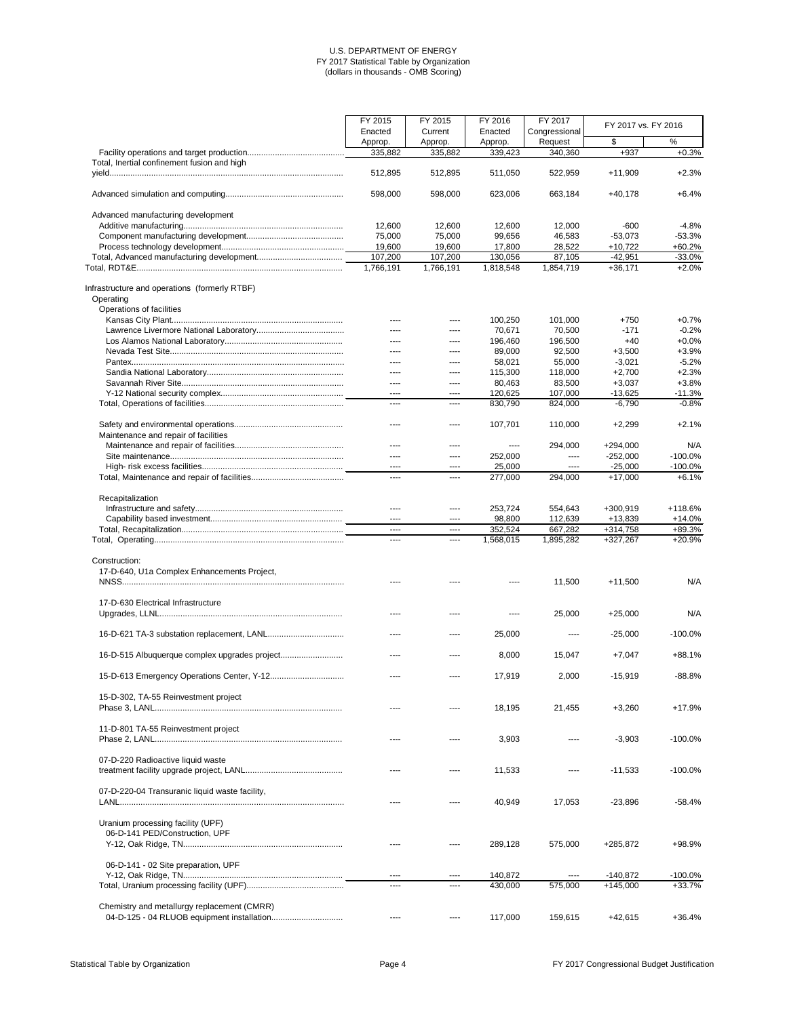|                                               | FY 2015<br>Enacted | FY 2015<br>Current | FY 2016<br>Enacted | FY 2017<br>Congressional | FY 2017 vs. FY 2016 |            |
|-----------------------------------------------|--------------------|--------------------|--------------------|--------------------------|---------------------|------------|
|                                               | Approp.            | Approp.            | Approp.            | Request                  | \$                  | %          |
|                                               | 335,882            | 335,882            | 339,423            | 340,360                  | $+937$              | $+0.3%$    |
| Total, Inertial confinement fusion and high   |                    |                    |                    |                          |                     |            |
|                                               | 512,895            | 512,895            | 511,050            | 522,959                  | $+11,909$           | $+2.3%$    |
|                                               | 598,000            | 598,000            | 623,006            | 663,184                  | $+40,178$           | $+6.4%$    |
| Advanced manufacturing development            |                    |                    |                    |                          |                     |            |
|                                               | 12,600             | 12,600             | 12,600             | 12,000                   | $-600$              | $-4.8%$    |
|                                               | 75,000             | 75,000             | 99,656             | 46,583                   | $-53,073$           | $-53.3%$   |
|                                               | 19,600             | 19,600             | 17,800             | 28,522                   | $+10,722$           | $+60.2%$   |
|                                               | 107,200            | 107,200            | 130,056            | 87,105                   | $-42,951$           | $-33.0%$   |
|                                               | 1,766,191          | 1,766,191          | 1,818,548          | 1,854,719                | $+36,171$           | $+2.0%$    |
| Infrastructure and operations (formerly RTBF) |                    |                    |                    |                          |                     |            |
| Operating                                     |                    |                    |                    |                          |                     |            |
| Operations of facilities                      |                    |                    |                    |                          |                     |            |
|                                               |                    |                    | 100,250            | 101,000                  | $+750$              | $+0.7%$    |
|                                               |                    |                    | 70,671             | 70,500                   | $-171$              | $-0.2%$    |
|                                               | ----               | ----               | 196,460            | 196,500                  | $+40$               | $+0.0%$    |
|                                               | ----               | $---$              | 89,000             | 92,500                   | $+3,500$            | $+3.9%$    |
|                                               | ----               | ----               | 58,021             | 55,000                   | $-3,021$            | $-5.2%$    |
|                                               | ----               | ----               | 115,300            | 118,000                  | $+2,700$            | $+2.3%$    |
|                                               | ----               | $---$              | 80,463             | 83,500                   | $+3,037$            | $+3.8%$    |
|                                               | ----               | ----               | 120,625            | 107,000                  | $-13,625$           | $-11.3%$   |
|                                               | ----               | ----               | 830,790            | 824,000                  | $-6,790$            | $-0.8%$    |
|                                               |                    |                    |                    |                          |                     |            |
| Maintenance and repair of facilities          | ----               | $\cdots$           | 107,701            | 110,000                  | $+2,299$            | $+2.1%$    |
|                                               | ----               |                    | $\cdots$           | 294,000                  | $+294,000$          | N/A        |
|                                               | ----               | ----               | 252,000            | $\cdots$                 | $-252,000$          | $-100.0%$  |
|                                               | ----               | ----               | 25,000             | $---$                    | $-25,000$           | $-100.0%$  |
|                                               | ----               | ----               | 277,000            | 294,000                  | $+17,000$           | $+6.1%$    |
| Recapitalization                              |                    |                    |                    |                          |                     |            |
|                                               | ----               | ----               | 253,724            | 554,643                  | +300,919            | +118.6%    |
|                                               | ----               | ----               | 98,800             | 112,639                  | $+13,839$           | $+14.0%$   |
|                                               | $---$              | $---$              | 352,524            | 667,282                  | +314,758            | +89.3%     |
|                                               | $\cdots$           | $\cdots$           | 1,568,015          | 1,895,282                | +327,267            | $+20.9%$   |
| Construction:                                 |                    |                    |                    |                          |                     |            |
|                                               |                    |                    |                    |                          |                     |            |
| 17-D-640, U1a Complex Enhancements Project,   |                    |                    |                    |                          |                     |            |
|                                               |                    |                    |                    | 11,500                   | $+11,500$           | N/A        |
| 17-D-630 Electrical Infrastructure            |                    |                    |                    |                          |                     |            |
|                                               |                    |                    |                    | 25,000                   | $+25,000$           | N/A        |
|                                               | ----               | $---$              | 25,000             | $---$                    | $-25,000$           | $-100.0%$  |
| 16-D-515 Albuquerque complex upgrades project | ----               | ----               | 8,000              | 15,047                   | $+7,047$            | $+88.1%$   |
|                                               | ----               |                    | 17,919             | 2,000                    | $-15,919$           | $-88.8%$   |
| 15-D-302, TA-55 Reinvestment project          |                    |                    | 18,195             | 21,455                   | $+3,260$            | $+17.9%$   |
| 11-D-801 TA-55 Reinvestment project           | ----               | ----               | 3,903              |                          | $-3,903$            | $-100.0\%$ |

| 07-D-220 Radioactive liquid waste                                   |           | 11,533  |         | $-11,533$  | $-100.0\%$ |
|---------------------------------------------------------------------|-----------|---------|---------|------------|------------|
| 07-D-220-04 Transuranic liquid waste facility,                      |           | 40.949  | 17.053  | $-23.896$  | $-58.4\%$  |
| Uranium processing facility (UPF)<br>06-D-141 PED/Construction, UPF |           | 289.128 | 575,000 | +285.872   | $+98.9%$   |
| 06-D-141 - 02 Site preparation, UPF                                 | $- - - -$ | 140.872 |         | -140.872   | $-100.0\%$ |
|                                                                     | ---       | 430.000 | 575,000 | $+145,000$ | $+33.7%$   |
| Chemistry and metallurgy replacement (CMRR)                         |           | 117.000 | 159.615 | +42.615    | $+36.4%$   |

Statistical Table by Organization **Page 4** Page 4 **Page 4** Page 4 **FY 2017** Congressional Budget Justification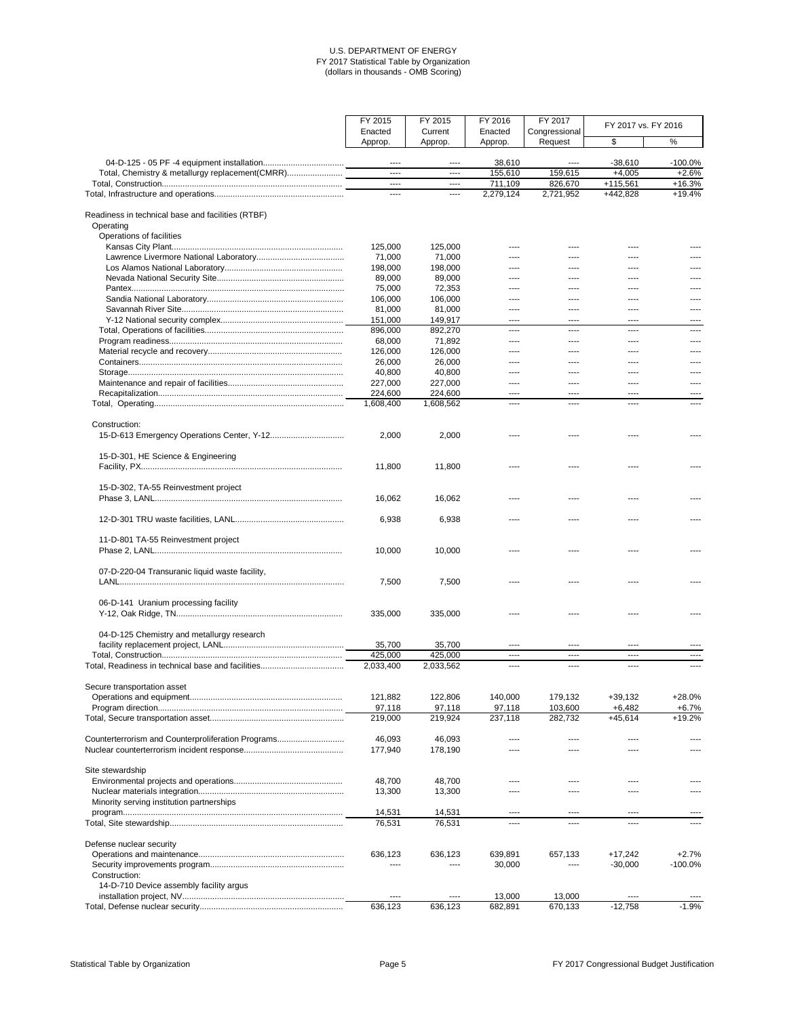|                                                                | FY 2015            | FY 2015            | FY 2016            | FY 2017                  | FY 2017 vs. FY 2016 |            |
|----------------------------------------------------------------|--------------------|--------------------|--------------------|--------------------------|---------------------|------------|
|                                                                | Enacted<br>Approp. | Current<br>Approp. | Enacted<br>Approp. | Congressional<br>Request | \$                  | $\%$       |
|                                                                | $---$              | $---$              | 38,610             | $\cdots$                 | $-38,610$           | $-100.0\%$ |
| Total, Chemistry & metallurgy replacement(CMRR)                | $\cdots$           | $- - - -$          | 155,610            | 159,615                  | $+4,005$            | $+2.6%$    |
|                                                                | $\cdots$           | $---$              | 711,109            | 826,670                  | $+115,561$          | $+16.3%$   |
|                                                                | $\cdots$           | $\cdots$           | 2,279,124          | 2,721,952                | +442,828            | $+19.4%$   |
| Readiness in technical base and facilities (RTBF)<br>Operating |                    |                    |                    |                          |                     |            |
| Operations of facilities                                       |                    |                    |                    |                          |                     |            |
|                                                                | 125,000            | 125,000            |                    |                          |                     |            |
|                                                                | 71,000             | 71,000             |                    |                          |                     |            |
|                                                                | 198,000            | 198,000            |                    |                          | ----                |            |
|                                                                | 89,000             | 89,000             | ----               |                          | ----                |            |
|                                                                | 75,000<br>106,000  | 72,353<br>106,000  | ----<br>----       | ----                     | ----<br>            |            |
|                                                                | 81,000             | 81,000             | ----               | ----                     | ----                |            |
|                                                                | 151,000            | 149,917            | $\frac{1}{2}$      | $---$                    | $---$               | ----       |
|                                                                | 896,000            | 892,270            | ----               | ----                     | ----                | ----       |
|                                                                | 68,000             | 71,892             | ----               | ----                     | ----                | ----       |
|                                                                | 126,000            | 126,000            | $- - - -$          | $---$                    | $---$               |            |
|                                                                | 26,000             | 26,000             | ----               | ----                     | ----                |            |
|                                                                | 40,800             | 40,800             | ----               | $---$                    | ----                |            |
|                                                                | 227,000            | 227,000            | $---$              | ----                     | ----                |            |
|                                                                | 224,600            | 224,600            | $---$              | $---$                    | ----                |            |
|                                                                | 1,608,400          | 1,608,562          | $---$              | $---$                    | ----                |            |
| Construction:                                                  | 2,000              | 2,000              |                    |                          |                     |            |
| 15-D-301, HE Science & Engineering                             |                    |                    |                    |                          |                     |            |
|                                                                | 11,800             | 11,800             |                    |                          |                     |            |
| 15-D-302, TA-55 Reinvestment project                           | 16,062             | 16,062             |                    |                          |                     |            |
|                                                                | 6,938              | 6,938              | $---$              |                          | ----                |            |
| 11-D-801 TA-55 Reinvestment project                            |                    |                    |                    |                          |                     |            |
| 07-D-220-04 Transuranic liquid waste facility,                 | 10,000             | 10,000             |                    |                          |                     |            |
|                                                                | 7,500              | 7,500              |                    |                          |                     |            |
| 06-D-141 Uranium processing facility                           | 335,000            | 335,000            |                    |                          |                     |            |
| 04-D-125 Chemistry and metallurgy research                     |                    |                    |                    |                          |                     |            |
|                                                                | 35,700             | 35,700             | ----               | ----                     | ----                |            |
|                                                                | 425,000            | 425,000            | $---$              | $---$                    | $---$               | ----       |
|                                                                | 2,033,400          | 2,033,562          | ----               | ----                     | ----                | ----       |
| Secure transportation asset                                    |                    |                    |                    |                          |                     |            |
|                                                                | 121,882            | 122,806            | 140,000            | 179,132                  | $+39,132$           | $+28.0%$   |
|                                                                | 97,118             | 97,118             | 97,118             | 103,600                  | $+6,482$            | $+6.7%$    |
|                                                                | 219,000            | 219,924            | 237,118            | 282,732                  | $+45,614$           | $+19.2%$   |
| Counterterrorism and Counterproliferation Programs             | 46,093             | 46,093             |                    |                          |                     |            |
|                                                                | 177,940            | 178,190            |                    |                          |                     |            |
| Site stewardship                                               |                    |                    |                    |                          |                     |            |
|                                                                | 48,700             | 48,700             |                    |                          |                     |            |
|                                                                | 13,300             | 13,300             | ----               |                          |                     |            |
| Minority serving institution partnerships                      |                    |                    |                    |                          |                     |            |
|                                                                | 14,531<br>76,531   | 14,531<br>76,531   | ----<br>$\cdots$   | $\cdots$<br>$\cdots$     | ----<br>----        |            |
|                                                                |                    |                    |                    |                          |                     |            |
| Defense nuclear security                                       | 636,123            | 636,123            | 639,891            | 657,133                  | $+17,242$           | $+2.7%$    |
|                                                                |                    |                    | 30,000             |                          | $-30,000$           | $-100.0%$  |
| Construction:<br>14-D-710 Device assembly facility argus       |                    |                    |                    |                          |                     |            |
|                                                                | $\cdots$           | $\cdots$           | 13,000             | 13,000                   | ----                |            |
|                                                                | 636,123            | 636,123            | 682,891            | 670,133                  | $-12,758$           | $-1.9%$    |

Statistical Table by Organization **Page 5** Page 5 **Page 5** Page 1 **Page 1** FY 2017 Congressional Budget Justification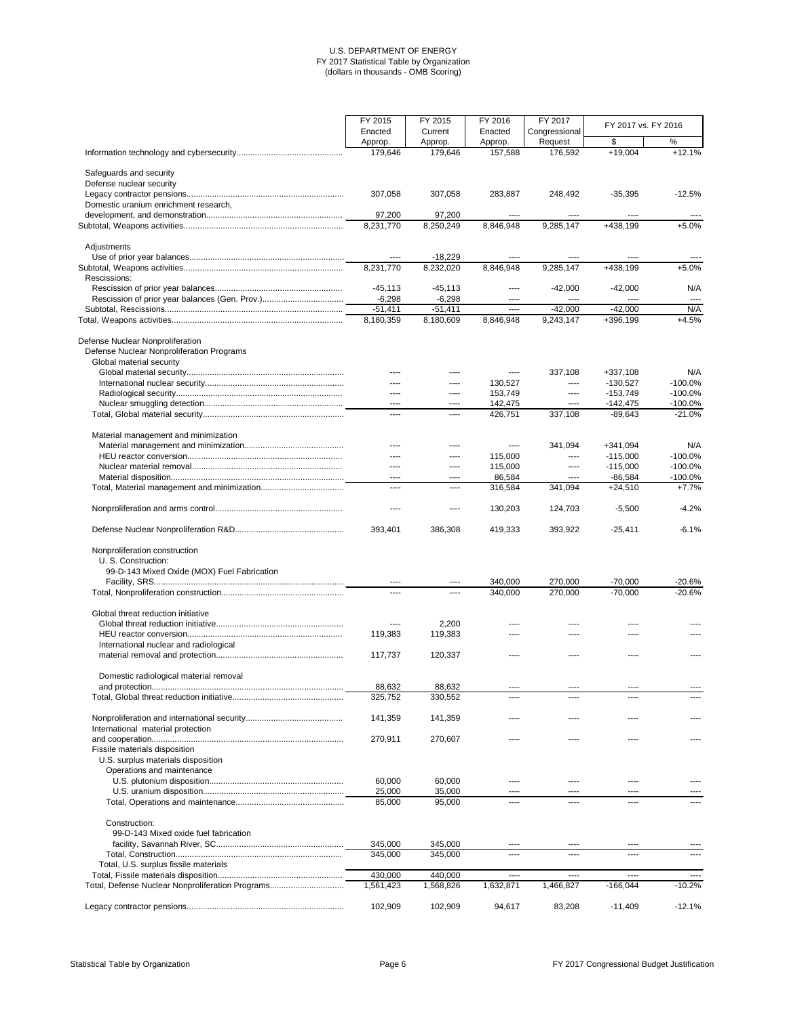|                                                  | FY 2015                | FY 2015                | FY 2016<br>FY 2017 |                          | FY 2017 vs. FY 2016      |                          |  |
|--------------------------------------------------|------------------------|------------------------|--------------------|--------------------------|--------------------------|--------------------------|--|
|                                                  | Enacted                | Current<br>Approp.     | Enacted            | Congressional<br>Request | \$                       | $\%$                     |  |
|                                                  | Approp.<br>179,646     | 179,646                | Approp.<br>157,588 | 176,592                  | $+19,004$                | $+12.1%$                 |  |
| Safeguards and security                          |                        |                        |                    |                          |                          |                          |  |
| Defense nuclear security                         |                        |                        |                    |                          |                          |                          |  |
|                                                  | 307,058                | 307,058                | 283,887            | 248,492                  | $-35,395$                | $-12.5%$                 |  |
| Domestic uranium enrichment research,            |                        |                        |                    |                          |                          |                          |  |
|                                                  | 97,200                 | 97,200                 | ----               | ----                     | ----                     |                          |  |
|                                                  | 8,231,770              | 8,250,249              | 8,846,948          | 9,285,147                | +438,199                 | $+5.0%$                  |  |
| Adjustments                                      |                        |                        |                    |                          |                          |                          |  |
|                                                  | $- - - -$              | $-18,229$              |                    |                          | ----                     |                          |  |
|                                                  | 8,231,770              | 8,232,020              | 8,846,948          | 9,285,147                | +438,199                 | $+5.0%$                  |  |
| Rescissions:                                     |                        |                        |                    |                          |                          |                          |  |
|                                                  | $-45,113$              | $-45,113$              | ----               | $-42,000$                | $-42,000$                | N/A                      |  |
|                                                  | $-6,298$               | $-6,298$               | ----               | ----                     | ----                     | $---$                    |  |
|                                                  | $-51,411$<br>8,180,359 | $-51,411$<br>8,180,609 | ----<br>8,846,948  | $-42,000$<br>9,243,147   | $-42,000$<br>+396,199    | N/A<br>$+4.5%$           |  |
|                                                  |                        |                        |                    |                          |                          |                          |  |
| Defense Nuclear Nonproliferation                 |                        |                        |                    |                          |                          |                          |  |
| Defense Nuclear Nonproliferation Programs        |                        |                        |                    |                          |                          |                          |  |
| Global material security                         |                        |                        |                    |                          |                          |                          |  |
|                                                  | $- - - -$              |                        | $---$              | 337,108                  | $+337,108$               | N/A                      |  |
|                                                  | $---$                  | ----                   | 130,527            | $---$                    | $-130,527$               | $-100.0%$                |  |
|                                                  | $---$<br>$\cdots$      | ----<br>----           | 153,749<br>142,475 | $\cdots$<br>$\cdots$     | $-153,749$<br>$-142,475$ | $-100.0\%$<br>$-100.0\%$ |  |
|                                                  | $\cdots$               | $\frac{1}{2}$          | 426,751            | 337,108                  | $-89,643$                | $-21.0%$                 |  |
|                                                  |                        |                        |                    |                          |                          |                          |  |
| Material management and minimization             |                        |                        |                    |                          |                          |                          |  |
|                                                  |                        |                        | ----               | 341,094                  | $+341,094$               | N/A                      |  |
|                                                  | ----                   | ----                   | 115,000            | ----                     | $-115,000$               | $-100.0\%$               |  |
|                                                  | $---$                  | ----                   | 115,000            | $\cdots$                 | $-115,000$               | $-100.0%$                |  |
|                                                  | $\cdots$               | ----                   | 86,584             | $---$                    | $-86,584$                | $-100.0\%$               |  |
|                                                  | $\cdots$               | ----                   | 316,584            | 341,094                  | $+24,510$                | $+7.7%$                  |  |
|                                                  |                        |                        | 130,203            | 124,703                  | $-5,500$                 | $-4.2%$                  |  |
|                                                  | 393,401                | 386,308                | 419,333            | 393,922                  | $-25,411$                | $-6.1%$                  |  |
|                                                  |                        |                        |                    |                          |                          |                          |  |
| Nonproliferation construction                    |                        |                        |                    |                          |                          |                          |  |
| U. S. Construction:                              |                        |                        |                    |                          |                          |                          |  |
| 99-D-143 Mixed Oxide (MOX) Fuel Fabrication      |                        |                        |                    |                          |                          |                          |  |
|                                                  | $\cdots$               | ----                   | 340,000            | 270,000                  | $-70,000$                | $-20.6%$                 |  |
|                                                  | $- - - -$              | $---$                  | 340,000            | 270,000                  | $-70,000$                | $-20.6%$                 |  |
| Global threat reduction initiative               |                        |                        |                    |                          |                          |                          |  |
|                                                  |                        | 2,200                  |                    |                          |                          |                          |  |
|                                                  | 119,383                | 119,383                |                    |                          |                          |                          |  |
| International nuclear and radiological           |                        |                        |                    |                          |                          |                          |  |
|                                                  | 117,737                | 120,337                | ----               |                          | ----                     |                          |  |
|                                                  |                        |                        |                    |                          |                          |                          |  |
| Domestic radiological material removal           | 88,632                 | 88,632                 | $---$              |                          | ----                     |                          |  |
|                                                  | 325,752                | 330,552                | ----               | ----<br>----             | ----                     |                          |  |
|                                                  |                        |                        |                    |                          |                          |                          |  |
|                                                  | 141,359                | 141,359                | $---$              | ----                     | ----                     |                          |  |
| International material protection                |                        |                        |                    |                          |                          |                          |  |
|                                                  | 270,911                | 270,607                | ----               |                          |                          |                          |  |
| Fissile materials disposition                    |                        |                        |                    |                          |                          |                          |  |
| U.S. surplus materials disposition               |                        |                        |                    |                          |                          |                          |  |
| Operations and maintenance                       |                        |                        |                    |                          |                          |                          |  |
|                                                  | 60,000                 | 60,000                 | ----               |                          |                          |                          |  |
|                                                  | 25,000                 | 35,000                 | ----               | ----                     | ----                     |                          |  |
|                                                  | 85,000                 | 95,000                 | ----               | ----                     | ----                     |                          |  |
| Construction:                                    |                        |                        |                    |                          |                          |                          |  |
| 99-D-143 Mixed oxide fuel fabrication            |                        |                        |                    |                          |                          |                          |  |
|                                                  | 345,000                | 345,000                | ----               | ----                     | ----                     |                          |  |
|                                                  | 345,000                | 345,000                | $\cdots$           | ----                     | ----                     |                          |  |
| Total, U.S. surplus fissile materials            |                        |                        |                    |                          |                          |                          |  |
|                                                  | 430,000                | 440,000                | ----               | $---$                    | ----                     | $\cdots$                 |  |
| Total, Defense Nuclear Nonproliferation Programs | 1,561,423              | 1,568,826              | 1,632,871          | 1,466,827                | $-166,044$               | $-10.2%$                 |  |
|                                                  |                        |                        |                    |                          |                          |                          |  |
|                                                  | 102,909                | 102,909                | 94,617             | 83,208                   | $-11,409$                | $-12.1%$                 |  |

Statistical Table by Organization **Page 6** Page 6 **Page 6** FY 2017 Congressional Budget Justification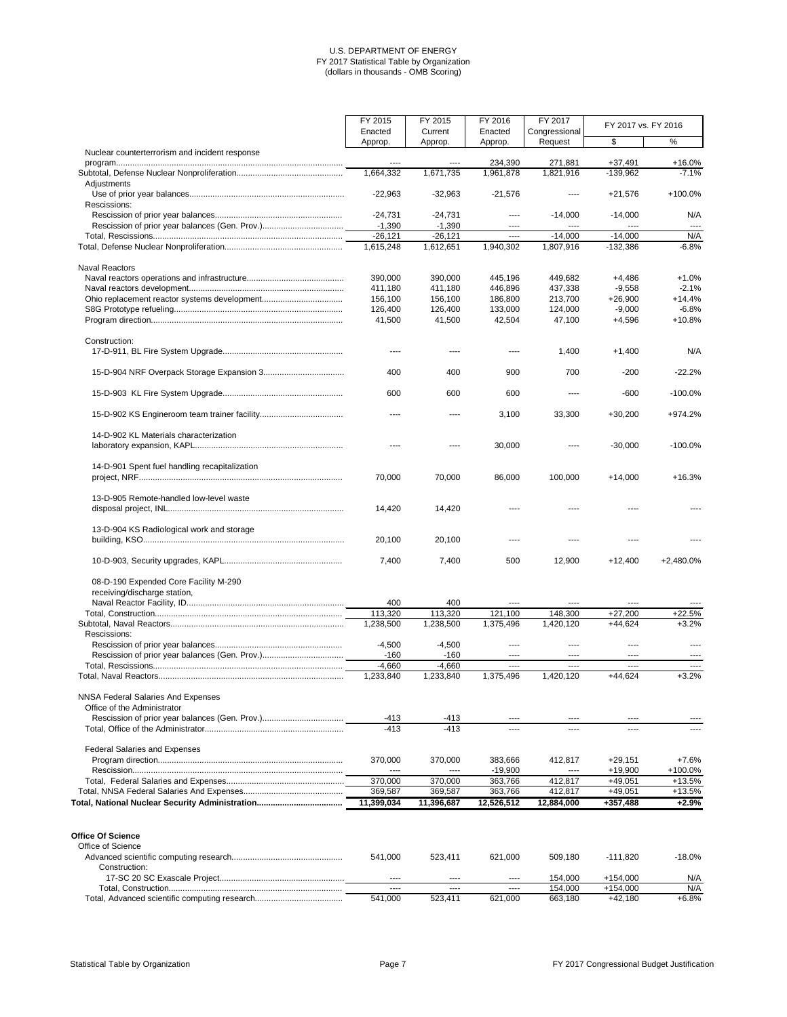|                                                | FY 2015   | FY 2015   | FY 2016   | FY 2017       |            | FY 2017 vs. FY 2016 |  |
|------------------------------------------------|-----------|-----------|-----------|---------------|------------|---------------------|--|
|                                                | Enacted   | Current   | Enacted   | Congressional |            |                     |  |
|                                                | Approp.   | Approp.   | Approp.   | Request       | \$         | %                   |  |
| Nuclear counterterrorism and incident response | ----      | $---$     | 234,390   | 271,881       | $+37,491$  | $+16.0%$            |  |
|                                                | 1,664,332 | 1,671,735 | 1,961,878 | 1,821,916     | $-139,962$ | $-7.1%$             |  |
| Adjustments                                    |           |           |           |               |            |                     |  |
|                                                | $-22,963$ | $-32,963$ | $-21,576$ | ----          | $+21,576$  | +100.0%             |  |
| Rescissions:                                   |           |           |           |               |            |                     |  |
|                                                | $-24,731$ | $-24,731$ | ----      | $-14,000$     | $-14,000$  | N/A                 |  |
|                                                | $-1,390$  | $-1,390$  | ----      | $---$         | ----       | $---$               |  |
|                                                | $-26,121$ | $-26,121$ | ----      | $-14,000$     | $-14,000$  | N/A                 |  |
|                                                | 1,615,248 | 1,612,651 | 1,940,302 | 1,807,916     | $-132,386$ | $-6.8%$             |  |
| <b>Naval Reactors</b>                          |           |           |           |               |            |                     |  |
|                                                | 390,000   | 390,000   | 445,196   | 449,682       | $+4,486$   | $+1.0%$             |  |
|                                                | 411,180   | 411,180   | 446,896   | 437,338       | $-9,558$   | $-2.1%$             |  |
|                                                | 156,100   | 156,100   | 186,800   | 213,700       | $+26,900$  | $+14.4%$            |  |
|                                                | 126,400   | 126,400   | 133,000   | 124,000       | $-9,000$   | $-6.8%$             |  |
|                                                | 41,500    | 41,500    | 42,504    | 47,100        | $+4,596$   | $+10.8%$            |  |
|                                                |           |           |           |               |            |                     |  |
| Construction:                                  | ----      | $---$     | ----      | 1,400         | $+1,400$   | N/A                 |  |
|                                                |           |           |           |               |            |                     |  |
|                                                | 400       | 400       | 900       | 700           | $-200$     | $-22.2%$            |  |
|                                                | 600       | 600       | 600       | ----          | $-600$     | $-100.0%$           |  |
|                                                | ----      |           | 3,100     | 33,300        | $+30,200$  | +974.2%             |  |
| 14-D-902 KL Materials characterization         |           |           | 30,000    |               | $-30,000$  | $-100.0%$           |  |
|                                                |           |           |           |               |            |                     |  |
| 14-D-901 Spent fuel handling recapitalization  |           |           |           |               |            |                     |  |
|                                                | 70,000    | 70,000    | 86,000    | 100,000       | $+14,000$  | $+16.3%$            |  |
| 13-D-905 Remote-handled low-level waste        |           |           |           |               |            |                     |  |
|                                                | 14,420    | 14,420    |           |               |            |                     |  |
| 13-D-904 KS Radiological work and storage      |           |           |           |               |            |                     |  |
|                                                | 20,100    | 20,100    |           |               |            |                     |  |
|                                                | 7,400     | 7,400     | 500       | 12,900        | $+12,400$  | +2,480.0%           |  |
| 08-D-190 Expended Core Facility M-290          |           |           |           |               |            |                     |  |
| receiving/discharge station,                   |           |           |           |               |            |                     |  |
|                                                | 400       | 400       |           |               | ----       |                     |  |
|                                                | 113,320   | 113,320   | 121,100   | 148,300       | $+27,200$  | $+22.5%$            |  |
|                                                | 1,238,500 | 1,238,500 | 1,375,496 | 1,420,120     | $+44,624$  | $+3.2%$             |  |
| Rescissions:                                   |           |           |           |               |            |                     |  |
|                                                | $-4,500$  | $-4,500$  | ----      |               | ----       |                     |  |
|                                                | $-160$    | $-160$    | ----      | ----          | ----       |                     |  |
|                                                | $-4,660$  | $-4,660$  | $---$     | $- - - -$     | $---$      | ----                |  |
|                                                | 1,233,840 | 1,233,840 | 1,375,496 | 1,420,120     | $+44,624$  | $+3.2%$             |  |
| <b>NNSA Federal Salaries And Expenses</b>      |           |           |           |               |            |                     |  |
| Office of the Administrator                    |           |           |           |               |            |                     |  |
|                                                | $-413$    | -413      | $---$     | $---$         | ----       |                     |  |
|                                                | $-413$    | $-413$    | ----      | ----          | ----       |                     |  |

Federal Salaries and Expenses

| Federal Salafies and Expenses                 |                   |            |              |                    |                      |            |
|-----------------------------------------------|-------------------|------------|--------------|--------------------|----------------------|------------|
|                                               | 370,000           | 370,000    | 383,666      | 412.817            | $+29.151$            | +7.6%      |
|                                               | ----              | ----       | -19,900      | $---$              | $+19,900$            | $+100.0\%$ |
|                                               | 370,000           | 370,000    | 363.766      | 412.817            | +49,051              | $+13.5%$   |
|                                               | 369,587           | 369,587    | 363,766      | 412,817            | +49,051              | $+13.5%$   |
|                                               | 11,399,034        | 11,396,687 | 12,526,512   | 12,884,000         | +357,488             | $+2.9%$    |
| <b>Office Of Science</b><br>Office of Science | 541.000           | 523.411    | 621,000      | 509.180            | $-111.820$           | $-18.0\%$  |
| Construction:                                 | $- - - -$<br>---- |            | ----<br>---- | 154.000<br>154.000 | +154.000<br>+154.000 | N/A<br>N/A |
|                                               |                   | ----       |              |                    |                      |            |
|                                               | 541.000           | 523.411    | 621.000      | 663.180            | +42.180              | $+6.8%$    |

Statistical Table by Organization **Page 7** Page 7 Page 7 **Page 7** FY 2017 Congressional Budget Justification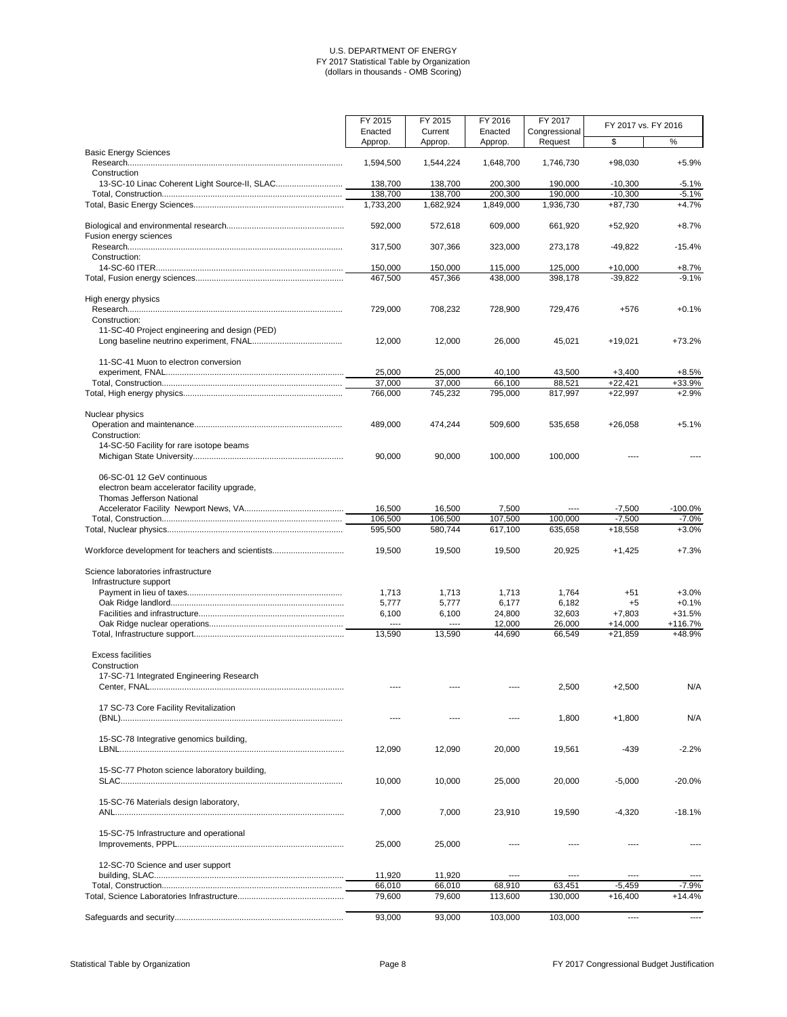|                                                               | FY 2015            | FY 2015            | FY 2016            | FY 2017            | FY 2017 vs. FY 2016    |                    |
|---------------------------------------------------------------|--------------------|--------------------|--------------------|--------------------|------------------------|--------------------|
|                                                               | Enacted            | Current            | Enacted            | Congressional      |                        |                    |
|                                                               | Approp.            | Approp.            | Approp.            | Request            | \$                     | $\%$               |
| <b>Basic Energy Sciences</b>                                  | 1,594,500          | 1,544,224          | 1,648,700          | 1,746,730          | +98,030                | $+5.9%$            |
| Construction                                                  |                    |                    |                    |                    |                        |                    |
| 13-SC-10 Linac Coherent Light Source-II, SLAC                 | 138,700            | 138,700            | 200,300            | 190,000            | $-10,300$              | $-5.1%$            |
|                                                               | 138,700            | 138,700            | 200,300            | 190,000            | $-10,300$              | $-5.1%$            |
|                                                               | 1,733,200          | 1,682,924          | 1,849,000          | 1,936,730          | $+87,730$              | $+4.7%$            |
|                                                               | 592,000            | 572,618            | 609,000            | 661,920            | $+52,920$              | $+8.7%$            |
| Fusion energy sciences                                        |                    |                    |                    |                    |                        |                    |
|                                                               | 317,500            | 307,366            | 323,000            | 273,178            | $-49,822$              | $-15.4%$           |
| Construction:                                                 |                    |                    |                    |                    |                        |                    |
|                                                               | 150,000<br>467,500 | 150,000<br>457,366 | 115,000<br>438,000 | 125,000<br>398,178 | $+10,000$<br>$-39,822$ | $+8.7%$<br>$-9.1%$ |
|                                                               |                    |                    |                    |                    |                        |                    |
| High energy physics                                           | 729,000            | 708,232            | 728,900            | 729,476            | $+576$                 | $+0.1%$            |
| Construction:                                                 |                    |                    |                    |                    |                        |                    |
| 11-SC-40 Project engineering and design (PED)                 |                    |                    |                    |                    |                        |                    |
|                                                               | 12,000             | 12,000             | 26,000             | 45,021             | $+19,021$              | $+73.2%$           |
| 11-SC-41 Muon to electron conversion                          |                    |                    |                    |                    |                        |                    |
|                                                               | 25,000             | 25,000             | 40,100             | 43,500             | $+3,400$               | $+8.5%$            |
|                                                               | 37,000             | 37,000             | 66,100             | 88,521             | $+22,421$              | +33.9%             |
|                                                               | 766,000            | 745,232            | 795,000            | 817,997            | $+22,997$              | $+2.9%$            |
|                                                               |                    |                    |                    |                    |                        |                    |
| Nuclear physics                                               | 489,000            | 474,244            | 509,600            | 535,658            | $+26,058$              | $+5.1%$            |
| Construction:                                                 |                    |                    |                    |                    |                        |                    |
| 14-SC-50 Facility for rare isotope beams                      |                    |                    |                    |                    |                        |                    |
|                                                               | 90,000             | 90,000             | 100,000            | 100,000            |                        |                    |
| 06-SC-01 12 GeV continuous                                    |                    |                    |                    |                    |                        |                    |
| electron beam accelerator facility upgrade,                   |                    |                    |                    |                    |                        |                    |
| Thomas Jefferson National                                     |                    |                    |                    |                    |                        |                    |
|                                                               | 16,500             | 16,500             | 7,500              | $\cdots$           | $-7,500$               | $-100.0\%$         |
|                                                               | 106,500            | 106,500            | 107,500            | 100,000            | $-7,500$               | $-7.0%$            |
|                                                               | 595,500            | 580,744            | 617,100            | 635,658            | $+18,558$              | $+3.0%$            |
| Workforce development for teachers and scientists             | 19,500             | 19,500             | 19,500             | 20,925             | $+1,425$               | $+7.3%$            |
|                                                               |                    |                    |                    |                    |                        |                    |
| Science laboratories infrastructure<br>Infrastructure support |                    |                    |                    |                    |                        |                    |
|                                                               | 1,713              | 1,713              | 1,713              | 1,764              | $+51$                  | $+3.0%$            |
|                                                               | 5,777              | 5,777              | 6,177              | 6,182              | $+5$                   | $+0.1%$            |
|                                                               | 6,100              | 6,100              | 24,800             | 32,603             | $+7,803$               | $+31.5%$           |
|                                                               | $---$              | $\cdots$           | 12,000             | 26,000             | $+14,000$              | $+116.7%$          |
|                                                               | 13,590             | 13,590             | 44,690             | 66,549             | $+21,859$              | +48.9%             |
| <b>Excess facilities</b>                                      |                    |                    |                    |                    |                        |                    |
| Construction                                                  |                    |                    |                    |                    |                        |                    |
| 17-SC-71 Integrated Engineering Research                      |                    |                    |                    |                    |                        |                    |
|                                                               |                    |                    |                    | 2,500              | $+2,500$               | N/A                |
| 17 SC-73 Core Facility Revitalization                         |                    |                    |                    |                    |                        |                    |
|                                                               | ----               |                    | ----               | 1,800              | $+1,800$               | N/A                |
|                                                               |                    |                    |                    |                    |                        |                    |
| 15-SC-78 Integrative genomics building,                       | 12,090             | 12,090             | 20,000             | 19,561             | $-439$                 | $-2.2%$            |
|                                                               |                    |                    |                    |                    |                        |                    |
| 15-SC-77 Photon science laboratory building,                  |                    |                    |                    |                    |                        |                    |
|                                                               | 10,000             | 10,000             | 25,000             | 20,000             | $-5,000$               | $-20.0%$           |
| 15-SC-76 Materials design laboratory,                         |                    |                    |                    |                    |                        |                    |
|                                                               | 7,000              | 7,000              | 23,910             | 19,590             | $-4,320$               | $-18.1%$           |
|                                                               |                    |                    |                    |                    |                        |                    |
| 15-SC-75 Infrastructure and operational                       |                    |                    |                    |                    |                        |                    |
|                                                               | 25,000             | 25,000             |                    |                    |                        |                    |
| 12-SC-70 Science and user support                             |                    |                    |                    |                    |                        |                    |
|                                                               | 11,920             | 11,920             | $- - - -$          | ----               | $---$                  |                    |
|                                                               | 66,010             | 66,010             | 68,910             | 63,451             | $-5,459$               | $-7.9%$            |
|                                                               | 79,600             | 79,600             | 113,600            | 130,000            | $+16,400$              | $+14.4%$           |
|                                                               | 93,000             | 93,000             | 103,000            | 103,000            |                        |                    |
|                                                               |                    |                    |                    |                    | $\cdots$               | $\cdots$           |

Statistical Table by Organization **Page 8** Page 8 **Page 8** FY 2017 Congressional Budget Justification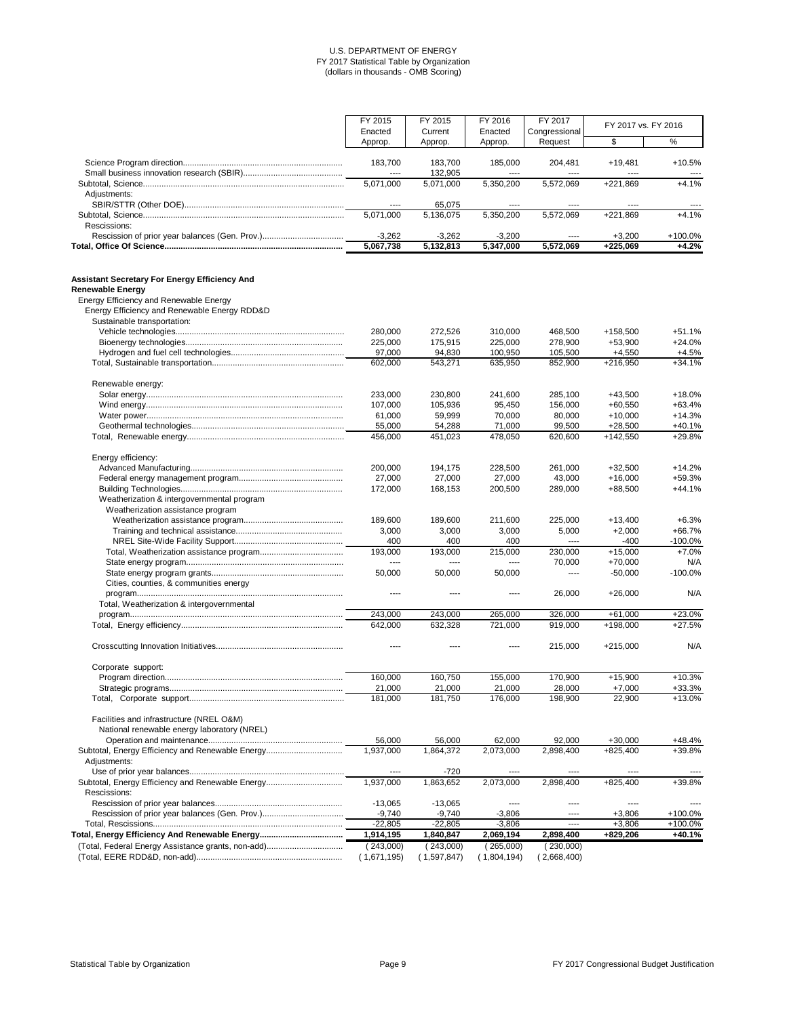|                                                                                         | FY 2015          | FY 2015            | FY 2016         | FY 2017         | FY 2017 vs. FY 2016 |                   |
|-----------------------------------------------------------------------------------------|------------------|--------------------|-----------------|-----------------|---------------------|-------------------|
|                                                                                         | Enacted          | Current            | Enacted         | Congressional   |                     |                   |
|                                                                                         | Approp.          | Approp.            | Approp.         | Request         | \$                  | $\%$              |
|                                                                                         |                  |                    |                 |                 |                     |                   |
|                                                                                         | 183,700<br>$---$ | 183,700<br>132,905 | 185,000<br>---- | 204,481<br>---- | $+19,481$<br>----   | $+10.5%$<br>$---$ |
|                                                                                         | 5,071,000        | 5,071,000          | 5,350,200       | 5,572,069       | +221,869            | $+4.1%$           |
| Adjustments:                                                                            |                  |                    |                 |                 |                     |                   |
|                                                                                         | $\cdots$         | 65,075             | $\cdots$        | ----            | ----                |                   |
|                                                                                         | 5,071,000        | 5,136,075          | 5,350,200       | 5,572,069       | $+221,869$          | $+4.1%$           |
| Rescissions:                                                                            |                  |                    |                 |                 |                     |                   |
|                                                                                         | $-3,262$         | $-3,262$           | $-3,200$        | ----            | $+3,200$            | +100.0%           |
|                                                                                         | 5,067,738        | 5,132,813          | 5,347,000       | 5,572,069       | +225,069            | $+4.2%$           |
| <b>Assistant Secretary For Energy Efficiency And</b>                                    |                  |                    |                 |                 |                     |                   |
| <b>Renewable Energy</b>                                                                 |                  |                    |                 |                 |                     |                   |
| Energy Efficiency and Renewable Energy                                                  |                  |                    |                 |                 |                     |                   |
| Energy Efficiency and Renewable Energy RDD&D                                            |                  |                    |                 |                 |                     |                   |
| Sustainable transportation:                                                             |                  |                    |                 |                 |                     |                   |
|                                                                                         | 280,000          | 272,526            | 310,000         | 468,500         | +158,500            | $+51.1%$          |
|                                                                                         | 225,000          | 175,915            | 225,000         | 278,900         | +53,900             | $+24.0%$          |
|                                                                                         | 97,000           | 94,830             | 100,950         | 105,500         | $+4,550$            | $+4.5%$           |
|                                                                                         | 602,000          | 543,271            | 635,950         | 852,900         | $+216,950$          | $+34.1%$          |
| Renewable energy:                                                                       |                  |                    |                 |                 |                     |                   |
|                                                                                         | 233,000          | 230,800            | 241,600         | 285,100         | $+43,500$           | $+18.0%$          |
|                                                                                         | 107,000          | 105,936            | 95,450          | 156,000         | $+60,550$           | $+63.4%$          |
|                                                                                         | 61,000           | 59,999             | 70,000          | 80,000          | $+10,000$           | $+14.3%$          |
|                                                                                         | 55,000           | 54,288             | 71,000          | 99,500          | $+28,500$           | $+40.1%$          |
|                                                                                         | 456,000          | 451,023            | 478,050         | 620,600         | $+142,550$          | +29.8%            |
| Energy efficiency:                                                                      |                  |                    |                 |                 |                     |                   |
|                                                                                         | 200,000          | 194,175            | 228,500         | 261,000         | $+32,500$           | $+14.2%$          |
|                                                                                         | 27,000           | 27,000             | 27,000          | 43,000          | $+16,000$           | +59.3%            |
|                                                                                         | 172,000          | 168,153            | 200,500         | 289,000         | +88,500             | $+44.1%$          |
| Weatherization & intergovernmental program                                              |                  |                    |                 |                 |                     |                   |
| Weatherization assistance program                                                       |                  |                    |                 |                 |                     |                   |
|                                                                                         | 189,600          | 189,600            | 211,600         | 225,000         | $+13,400$           | $+6.3%$           |
|                                                                                         | 3,000            | 3,000              | 3,000           | 5,000           | $+2,000$            | $+66.7%$          |
|                                                                                         | 400              | 400                | 400             | $\cdots$        | $-400$              | $-100.0%$         |
|                                                                                         | 193,000          | 193,000            | 215,000         | 230,000         | $+15,000$           | $+7.0%$           |
|                                                                                         | $-----$          | ----               | $---$           | 70,000          | $+70,000$           | N/A               |
|                                                                                         | 50,000           | 50,000             | 50,000          | ----            | $-50,000$           | $-100.0%$         |
| Cities, counties, & communities energy                                                  |                  |                    |                 |                 |                     |                   |
|                                                                                         | ----             | ----               | ----            | 26,000          | $+26,000$           | N/A               |
| Total, Weatherization & intergovernmental                                               |                  |                    |                 |                 |                     |                   |
|                                                                                         | 243,000          | 243,000            | 265,000         | 326,000         | $+61,000$           | $+23.0%$          |
|                                                                                         | 642,000          | 632,328            | 721,000         | 919,000         | +198,000            | $+27.5%$          |
|                                                                                         |                  |                    | ----            | 215,000         | $+215,000$          | N/A               |
| Corporate support:                                                                      |                  |                    |                 |                 |                     |                   |
|                                                                                         | 160,000          | 160,750            | 155,000         | 170,900         | $+15,900$           | $+10.3%$          |
|                                                                                         | 21,000           | 21,000             | 21,000          | 28,000          | $+7,000$            | +33.3%            |
|                                                                                         | 181,000          | 181,750            | 176,000         | 198,900         | 22,900              | $+13.0%$          |
| Facilities and infrastructure (NREL O&M)<br>National renewable energy laboratory (NREL) |                  |                    |                 |                 |                     |                   |
|                                                                                         | 56,000           | 56,000             | 62,000          | 92,000          | $+30,000$           | $+48.4%$          |
| Subtotal, Energy Efficiency and Renewable Energy<br>Adjustments:                        | 1,937,000        | 1,864,372          | 2,073,000       | 2,898,400       | $+825,400$          | +39.8%            |
|                                                                                         | ----             | $-720$             | ----            | ----            | ----                |                   |
| Subtotal, Energy Efficiency and Renewable Energy                                        | 1,937,000        | 1,863,652          | 2,073,000       | 2,898,400       | $+825,400$          | +39.8%            |
| Rescissions:                                                                            |                  |                    |                 |                 |                     |                   |
|                                                                                         | $-13,065$        | $-13,065$          | $\cdots$        | ----            | ----                |                   |
|                                                                                         | $-9,740$         | $-9,740$           | $-3,806$        | $---$           | $+3,806$            | +100.0%           |
|                                                                                         | $-22,805$        | $-22,805$          | $-3,806$        | $\cdots$        | $+3,806$            | +100.0%           |
|                                                                                         | 1,914,195        | 1,840,847          | 2,069,194       | 2,898,400       | +829,206            | +40.1%            |
| (Total, Federal Energy Assistance grants, non-add)                                      | (243,000)        | (243,000)          | (265,000)       | (230,000)       |                     |                   |
|                                                                                         | (1,671,195)      | (1,597,847)        | (1,804,194)     | 2,668,400       |                     |                   |

Statistical Table by Organization **Page 9** Page 9 **Page 9** Page 9 **FY 2017** Congressional Budget Justification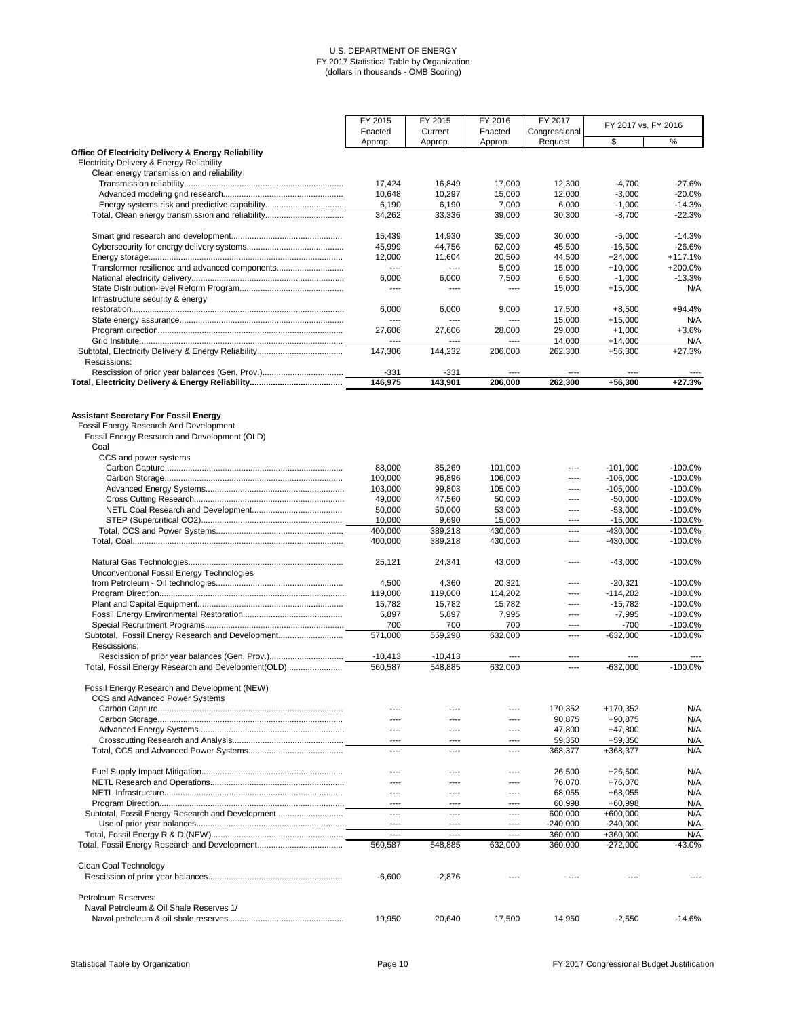|                                                                                        | FY 2015            | FY 2015         | FY 2016          | FY 2017           | FY 2017 vs. FY 2016    |                        |
|----------------------------------------------------------------------------------------|--------------------|-----------------|------------------|-------------------|------------------------|------------------------|
|                                                                                        | Enacted            | Current         | Enacted          | Congressional     |                        |                        |
| <b>Office Of Electricity Delivery &amp; Energy Reliability</b>                         | Approp.            | Approp.         | Approp.          | Request           | \$                     | $\%$                   |
| <b>Electricity Delivery &amp; Energy Reliability</b>                                   |                    |                 |                  |                   |                        |                        |
| Clean energy transmission and reliability                                              | 17,424             | 16,849          | 17,000           | 12,300            | $-4,700$               | $-27.6%$               |
|                                                                                        | 10,648             | 10,297          | 15,000           | 12,000            | $-3,000$               | $-20.0%$               |
|                                                                                        | 6,190              | 6,190           | 7,000            | 6,000             | $-1,000$               | $-14.3%$               |
| Total, Clean energy transmission and reliability                                       | 34,262             | 33,336          | 39,000           | 30,300            | $-8,700$               | $-22.3%$               |
|                                                                                        |                    |                 |                  |                   |                        |                        |
|                                                                                        | 15,439             | 14,930          | 35,000           | 30,000            | $-5,000$               | $-14.3%$               |
|                                                                                        | 45,999             | 44,756          | 62,000           | 45,500            | $-16,500$              | $-26.6%$               |
|                                                                                        | 12,000<br>$---$    | 11,604          | 20,500           | 44,500            | $+24,000$              | $+117.1%$<br>+200.0%   |
| Transformer resilience and advanced components                                         | 6,000              | ----<br>6,000   | 5,000<br>7,500   | 15,000<br>6,500   | $+10,000$<br>$-1,000$  | $-13.3%$               |
|                                                                                        | $\cdots$           | ----            | $\cdots$         | 15,000            | $+15,000$              | N/A                    |
| Infrastructure security & energy                                                       |                    |                 |                  |                   |                        |                        |
|                                                                                        | 6,000              | 6,000           | 9,000            | 17,500            | $+8,500$               | $+94.4%$               |
|                                                                                        | $\cdots$           | ----            | ----             | 15,000            | $+15,000$              | N/A                    |
|                                                                                        | 27,606             | 27,606          | 28,000           | 29,000            | $+1,000$               | $+3.6%$                |
|                                                                                        | ----               | ----            | ----             | 14,000            | $+14,000$              | N/A<br>$+27.3%$        |
| Rescissions:                                                                           | 147,306            | 144,232         | 206,000          | 262,300           | $+56,300$              |                        |
|                                                                                        | $-331$             | $-331$          | ----             |                   |                        |                        |
|                                                                                        | 146,975            | 143,901         | 206,000          | 262,300           | $+56,300$              | $+27.3%$               |
|                                                                                        |                    |                 |                  |                   |                        |                        |
| <b>Assistant Secretary For Fossil Energy</b><br>Fossil Energy Research And Development |                    |                 |                  |                   |                        |                        |
| Fossil Energy Research and Development (OLD)<br>Coal                                   |                    |                 |                  |                   |                        |                        |
| CCS and power systems                                                                  |                    |                 |                  |                   |                        |                        |
|                                                                                        | 88,000             | 85,269          | 101,000          |                   | $-101,000$             | $-100.0%$              |
|                                                                                        | 100,000            | 96,896          | 106,000          | $---$             | $-106,000$             | $-100.0%$              |
|                                                                                        | 103,000            | 99,803          | 105,000          |                   | $-105,000$             | $-100.0%$              |
|                                                                                        | 49,000             | 47,560          | 50,000           | ----              | $-50,000$              | $-100.0%$              |
|                                                                                        | 50,000<br>10,000   | 50,000<br>9,690 | 53,000<br>15,000 | ----<br>----      | $-53,000$<br>$-15,000$ | $-100.0%$<br>$-100.0%$ |
|                                                                                        | 400,000            | 389,218         | 430,000          | ----              | $-430,000$             | $-100.0%$              |
|                                                                                        | 400,000            | 389,218         | 430,000          | ----              | $-430,000$             | $-100.0%$              |
| Unconventional Fossil Energy Technologies                                              | 25,121             | 24,341          | 43,000           | ----              | $-43,000$              | $-100.0%$              |
|                                                                                        | 4,500              | 4,360           | 20,321           | ----              | $-20,321$              | $-100.0%$              |
|                                                                                        | 119,000            | 119,000         | 114,202          | ----              | $-114,202$             | $-100.0%$              |
|                                                                                        | 15,782             | 15,782          | 15,782           | ----              | $-15,782$              | $-100.0\%$             |
|                                                                                        | 5,897              | 5,897           | 7,995            | ----              | $-7,995$               | $-100.0%$              |
|                                                                                        | 700                | 700             | 700              | ----              | $-700$                 | $-100.0\%$             |
| Subtotal, Fossil Energy Research and Development                                       | 571,000            | 559,298         | 632,000          | ----              | $-632,000$             | $-100.0%$              |
| Rescissions:<br>Rescission of prior year balances (Gen. Prov.)                         | $-10,413$          | $-10,413$       | ----             | ----              |                        |                        |
| Total, Fossil Energy Research and Development(OLD)                                     | 560,587            | 548,885         | 632,000          | ----              | $-632,000$             | $-100.0%$              |
| Fossil Energy Research and Development (NEW)                                           |                    |                 |                  |                   |                        |                        |
| CCS and Advanced Power Systems                                                         |                    |                 |                  |                   |                        |                        |
|                                                                                        | ----               |                 | ----             | 170,352           | +170,352               | N/A                    |
|                                                                                        | ----               | ----            | ----             | 90,875            | $+90,875$              | N/A                    |
|                                                                                        | $\cdots$           | ----            | ----             | 47,800            | $+47,800$              | N/A                    |
|                                                                                        | $---$<br>----      | ----<br>----    | ----<br>----     | 59,350<br>368,377 | +59,350<br>+368,377    | N/A<br>N/A             |
|                                                                                        |                    |                 |                  |                   |                        |                        |
|                                                                                        | $- - - -$<br>$---$ | ----            | ----<br>----     | 26,500<br>76,070  | $+26,500$<br>+76,070   | N/A<br>N/A             |
|                                                                                        | $\frac{1}{2}$      | ----            | ----             | 68,055            | $+68,055$              | N/A                    |
|                                                                                        | $\cdots$           | ----            | ----             | 60,998            | $+60,998$              | N/A                    |
| Subtotal, Fossil Energy Research and Development                                       | $\cdots$           | ----            | ----             | 600,000           | $+600,000$             | N/A                    |
|                                                                                        | $\cdots$           | ----            | ----             | $-240,000$        | $-240,000$             | N/A                    |
|                                                                                        | $---$              | $---$           | ----             | 360,000           | +360,000               | N/A                    |
|                                                                                        | 560,587            | 548,885         | 632,000          | 360,000           | $-272,000$             | $-43.0%$               |
| Clean Coal Technology                                                                  | $-6,600$           | $-2,876$        |                  |                   |                        |                        |
| Petroleum Reserves:                                                                    |                    |                 |                  |                   |                        |                        |
| Naval Petroleum & Oil Shale Reserves 1/                                                |                    |                 |                  |                   |                        |                        |
|                                                                                        | 19,950             | 20,640          | 17,500           | 14,950            | $-2,550$               | $-14.6%$               |

Statistical Table by Organization **Page 10** Page 10 **Page 10** Page 10 **FY 2017** Congressional Budget Justification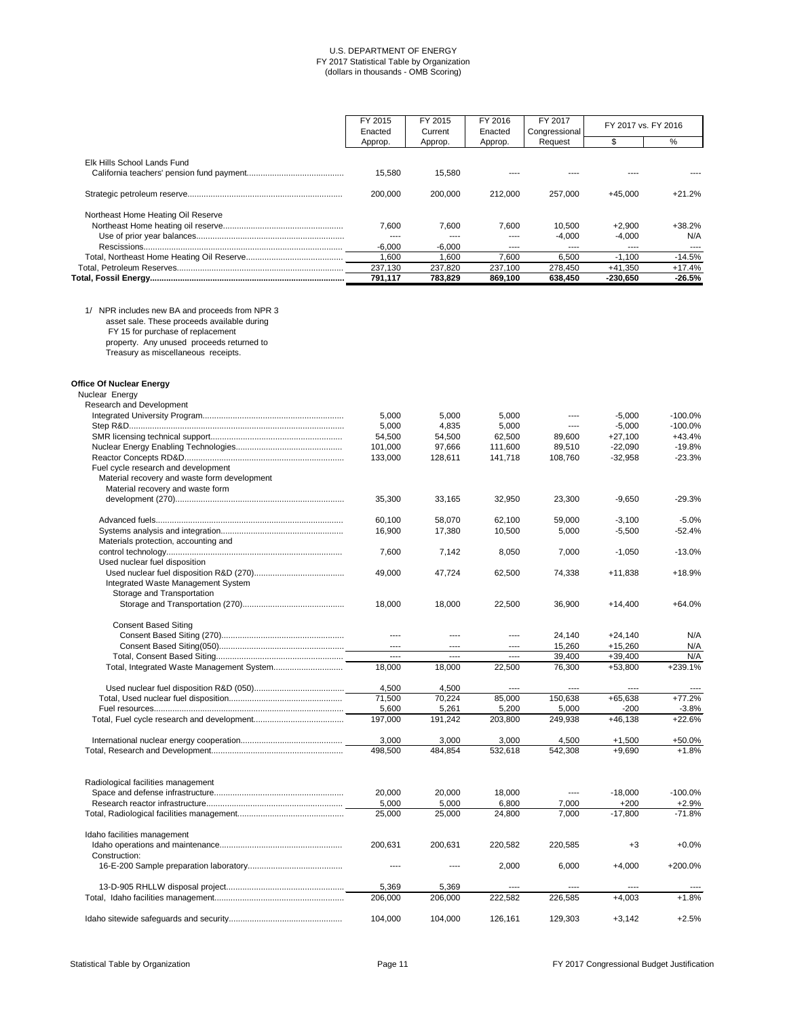|                                    | FY 2015<br>Enacted | FY 2015<br>Current | FY 2016<br>Enacted | FY 2017<br>Congressional | FY 2017 vs. FY 2016 |               |
|------------------------------------|--------------------|--------------------|--------------------|--------------------------|---------------------|---------------|
|                                    | Approp.            | Approp.            | Approp.            | Request                  |                     | %             |
| Elk Hills School Lands Fund        | 15.580             | 15.580             | ----               |                          |                     |               |
|                                    | 200,000            | 200,000            | 212,000            | 257.000                  | +45.000             | $+21.2%$      |
| Northeast Home Heating Oil Reserve |                    |                    |                    |                          |                     |               |
|                                    | 7.600              | 7,600              | 7.600              | 10.500                   | +2,900              | +38.2%        |
|                                    | ----               | ----               | ----               | $-4.000$                 | $-4,000$            | N/A           |
|                                    | $-6,000$           | $-6.000$           | $\cdots$           | ----                     | $\frac{1}{2}$       | $\frac{1}{2}$ |
|                                    | .600               | 1,600              | 7,600              | 6,500                    | $-1,100$            | $-14.5%$      |
|                                    | 237,130            | 237,820            | 237,100            | 278,450                  | +41,350             | +17.4%        |
|                                    | 791,117            | 783,829            | 869,100            | 638,450                  | $-230,650$          | $-26.5%$      |

1/ NPR includes new BA and proceeds from NPR 3

asset sale. These proceeds available during

FY 15 for purchase of replacement

property. Any unused proceeds returned to

Treasury as miscellaneous receipts.

| <b>Office Of Nuclear Energy</b>              |               |         |          |           |           |           |
|----------------------------------------------|---------------|---------|----------|-----------|-----------|-----------|
| Nuclear Energy                               |               |         |          |           |           |           |
| <b>Research and Development</b>              |               |         |          |           |           |           |
|                                              | 5,000         | 5,000   | 5,000    | ----      | $-5,000$  | $-100.0%$ |
|                                              | 5,000         | 4,835   | 5,000    | ----      | $-5,000$  | $-100.0%$ |
|                                              | 54,500        | 54,500  | 62,500   | 89,600    | $+27,100$ | $+43.4%$  |
|                                              | 101,000       | 97,666  | 111,600  | 89,510    | $-22,090$ | $-19.8%$  |
|                                              | 133,000       | 128,611 | 141,718  | 108,760   | $-32,958$ | $-23.3%$  |
| Fuel cycle research and development          |               |         |          |           |           |           |
| Material recovery and waste form development |               |         |          |           |           |           |
| Material recovery and waste form             |               |         |          |           |           |           |
|                                              | 35,300        | 33,165  | 32,950   | 23,300    | $-9,650$  | $-29.3%$  |
|                                              | 60,100        | 58,070  | 62,100   | 59,000    | $-3,100$  | $-5.0%$   |
|                                              | 16,900        | 17,380  | 10,500   | 5,000     | $-5,500$  | $-52.4%$  |
| Materials protection, accounting and         |               |         |          |           |           |           |
|                                              | 7,600         | 7,142   | 8,050    | 7,000     | $-1,050$  | $-13.0%$  |
| Used nuclear fuel disposition                |               |         |          |           |           |           |
|                                              | 49,000        | 47,724  | 62,500   | 74,338    | $+11,838$ | +18.9%    |
| Integrated Waste Management System           |               |         |          |           |           |           |
| Storage and Transportation                   |               |         |          |           |           |           |
|                                              | 18,000        | 18,000  | 22,500   | 36,900    | $+14,400$ | $+64.0%$  |
| <b>Consent Based Siting</b>                  |               |         |          |           |           |           |
|                                              | $---$         |         | ----     | 24,140    | $+24,140$ | N/A       |
|                                              | $---$         | ----    | $-- - -$ | 15,260    | $+15,260$ | N/A       |
|                                              | $\frac{1}{2}$ | ----    | $---$    | 39,400    | $+39,400$ | N/A       |
|                                              | 18,000        | 18,000  | 22,500   | 76,300    | $+53,800$ | $+239.1%$ |
|                                              | 4,500         | 4,500   | $---$    | $- - - -$ | $- - - -$ |           |
|                                              | 71,500        | 70,224  | 85,000   | 150,638   | $+65,638$ | $+77.2%$  |
|                                              | 5,600         | 5,261   | 5,200    | 5,000     | $-200$    | $-3.8%$   |
|                                              | 197,000       | 191,242 | 203,800  | 249,938   | $+46,138$ | +22.6%    |
|                                              |               |         |          |           |           |           |

International nuclear energy cooperation............................................ 3,000 3,000 3,000 4,500 +1,500 +50.0%

|                                    | 498,500 | 484,854 | 532,618 | 542,308 | $+9,690$  | +1.8%      |
|------------------------------------|---------|---------|---------|---------|-----------|------------|
| Radiological facilities management |         |         |         |         |           |            |
|                                    | 20,000  | 20,000  | 18,000  | $---$   | $-18,000$ | $-100.0\%$ |
|                                    | 5,000   | 5,000   | 6,800   | 7,000   | $+200$    | $+2.9%$    |
|                                    | 25,000  | 25,000  | 24,800  | 7,000   | $-17,800$ | $-71.8%$   |
| Idaho facilities management        |         |         |         |         |           |            |
|                                    | 200,631 | 200.631 | 220.582 | 220.585 | $+3$      | $+0.0\%$   |
| Construction:                      |         |         |         |         |           |            |
|                                    |         |         | 2,000   | 6.000   | $+4.000$  | $+200.0\%$ |
|                                    | 5,369   | 5,369   | ----    |         | ----      |            |
|                                    | 206,000 | 206,000 | 222,582 | 226,585 | $+4.003$  | $+1.8%$    |
|                                    | 104.000 | 104.000 | 126,161 | 129.303 | $+3.142$  | $+2.5%$    |

Statistical Table by Organization **Page 11** Page 11 Page 11 **Page 11** FY 2017 Congressional Budget Justification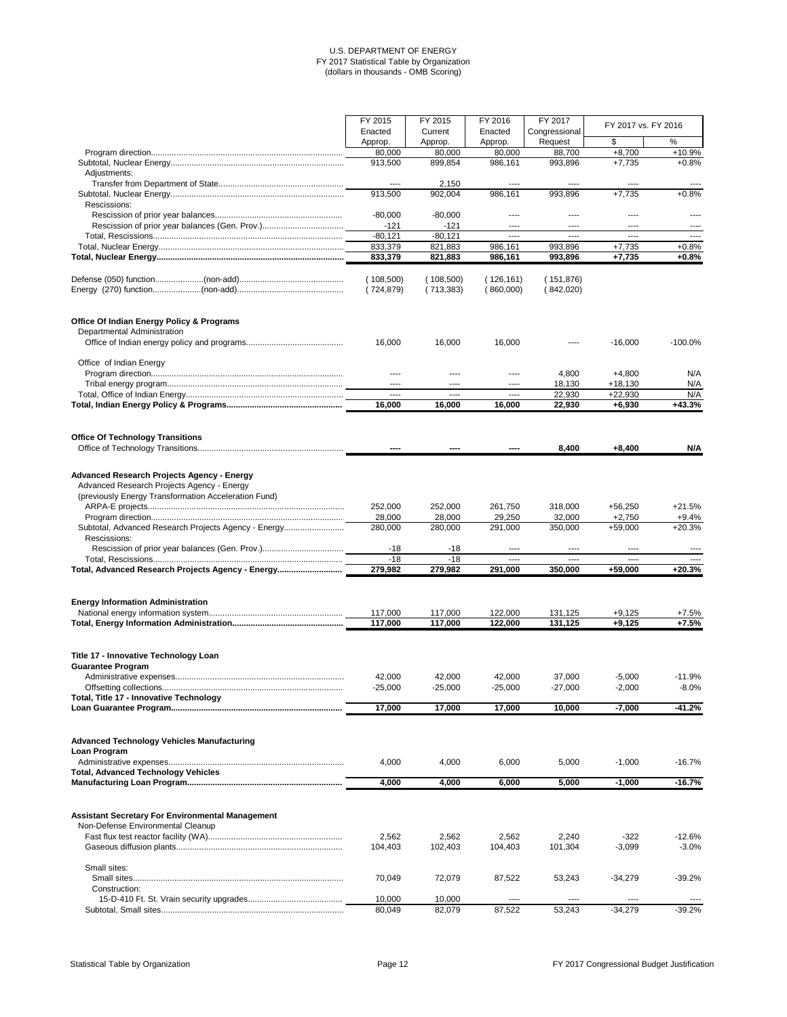|                                                      | FY 2015       | FY 2015    | FY 2016    | FY 2017       |                     |           |
|------------------------------------------------------|---------------|------------|------------|---------------|---------------------|-----------|
|                                                      | Enacted       | Current    | Enacted    | Congressional | FY 2017 vs. FY 2016 |           |
|                                                      | Approp.       | Approp.    | Approp.    | Request       | \$                  | $\%$      |
|                                                      |               |            | 80,000     | 88,700        | $+8,700$            | +10.9%    |
|                                                      | 80,000        | 80,000     |            |               |                     |           |
|                                                      | 913,500       | 899,854    | 986,161    | 993,896       | $+7,735$            | $+0.8%$   |
| Adjustments:                                         |               |            |            |               |                     |           |
|                                                      | $-- -$        | 2,150      | ----       | ----          | ----                |           |
|                                                      | 913,500       | 902,004    | 986,161    | 993,896       | $+7,735$            | $+0.8%$   |
| Rescissions:                                         |               |            |            |               |                     |           |
|                                                      | $-80,000$     | $-80,000$  | ----       | ----          |                     |           |
|                                                      | $-121$        | $-121$     | ----       | $\cdots$      | $- - - -$           | $---$     |
|                                                      | $-80,121$     | $-80,121$  | $- - - -$  | $\frac{1}{2}$ | $\frac{1}{2}$       | $---$     |
|                                                      | 833,379       | 821,883    | 986,161    | 993,896       | $+7,735$            | $+0.8%$   |
|                                                      | 833,379       | 821,883    | 986,161    | 993,896       | $+7,735$            | $+0.8%$   |
|                                                      |               |            |            |               |                     |           |
|                                                      | (108,500)     | (108,500)  | (126, 161) | (151,876)     |                     |           |
|                                                      |               |            |            |               |                     |           |
|                                                      | (724, 879)    | (713, 383) | (860,000)  | (842,020)     |                     |           |
| <b>Office Of Indian Energy Policy &amp; Programs</b> |               |            |            |               |                     |           |
| Departmental Administration                          |               |            |            |               |                     |           |
|                                                      | 16,000        | 16,000     | 16,000     |               | $-16,000$           | $-100.0%$ |
|                                                      |               |            |            |               |                     |           |
| Office of Indian Energy                              |               |            |            |               |                     |           |
|                                                      | ----          |            | ----       | 4,800         | $+4,800$            | N/A       |
|                                                      | $---$         | ----       | ----       | 18,130        | $+18,130$           | N/A       |
|                                                      | $\frac{1}{2}$ | ----       | ----       | 22,930        | $+22,930$           | N/A       |
|                                                      |               |            |            |               |                     |           |
|                                                      | 16,000        | 16,000     | 16,000     | 22,930        | $+6,930$            | $+43.3%$  |
|                                                      |               |            |            |               |                     |           |
| <b>Office Of Technology Transitions</b>              |               |            |            | 8,400         | $+8,400$            | N/A       |
|                                                      |               |            |            |               |                     |           |
| <b>Advanced Research Projects Agency - Energy</b>    |               |            |            |               |                     |           |
| Advanced Research Projects Agency - Energy           |               |            |            |               |                     |           |
| (previously Energy Transformation Acceleration Fund) |               |            |            |               |                     |           |
|                                                      | 252,000       | 252,000    | 261,750    | 318,000       | $+56,250$           | $+21.5%$  |
|                                                      | 28,000        | 28,000     | 29,250     | 32,000        | $+2,750$            | $+9.4%$   |
| Subtotal, Advanced Research Projects Agency - Energy | 280,000       | 280,000    | 291,000    | 350,000       | $+59,000$           | $+20.3%$  |
| Rescissions:                                         |               |            |            |               |                     |           |
|                                                      | $-18$         | $-18$      | ----       | $- - - -$     | ----                | ----      |
|                                                      | $-18$         | $-18$      | ----       | ----          | $- - - -$           |           |
| Total, Advanced Research Projects Agency - Energy    |               |            |            |               |                     | $+20.3%$  |
|                                                      | 279,982       | 279,982    | 291,000    | 350,000       | $+59,000$           |           |
| <b>Energy Information Administration</b>             |               |            |            |               |                     |           |
|                                                      | 117,000       | 117,000    | 122,000    | 131,125       | $+9,125$            | $+7.5%$   |
|                                                      | 117,000       | 117,000    | 122,000    | 131,125       | $+9,125$            | $+7.5%$   |
|                                                      |               |            |            |               |                     |           |
| Title 17 - Innovative Technology Loan                |               |            |            |               |                     |           |
| <b>Guarantee Program</b>                             |               |            |            |               |                     |           |
|                                                      | 42,000        | 42,000     | 42,000     | 37,000        | $-5,000$            | $-11.9%$  |
|                                                      | $-25,000$     | $-25,000$  | $-25,000$  | $-27,000$     | $-2,000$            | $-8.0%$   |
| Total, Title 17 - Innovative Technology              |               |            |            |               |                     |           |
|                                                      | 17,000        | 17,000     | 17,000     | 10,000        | $-7,000$            | $-41.2%$  |
|                                                      |               |            |            |               |                     |           |

| Loan Program                                                                                 |         |         |         |         |           |           |
|----------------------------------------------------------------------------------------------|---------|---------|---------|---------|-----------|-----------|
|                                                                                              | 4.000   | 4.000   | 6.000   | 5.000   | $-1.000$  | $-16.7\%$ |
| <b>Total, Advanced Technology Vehicles</b>                                                   |         |         |         |         |           |           |
|                                                                                              | 4,000   | 4,000   | 6,000   | 5,000   | $-1,000$  | $-16.7%$  |
| <b>Assistant Secretary For Environmental Management</b><br>Non-Defense Environmental Cleanup |         |         |         |         |           |           |
|                                                                                              | 2,562   | 2,562   | 2,562   | 2,240   | $-322$    | -12.6%    |
|                                                                                              | 104.403 | 102,403 | 104.403 | 101.304 | $-3.099$  | $-3.0%$   |
| Small sites:                                                                                 |         |         |         |         |           |           |
| Construction:                                                                                | 70.049  | 72.079  | 87,522  | 53,243  | $-34.279$ | $-39.2%$  |
|                                                                                              | 10,000  | 10,000  | ----    |         | ----      |           |
|                                                                                              | 80.049  | 82,079  | 87,522  | 53.243  | $-34.279$ | $-39.2%$  |

Statistical Table by Organization **Page 12** Page 12 **Page 12** Page 12 **FY 2017** Congressional Budget Justification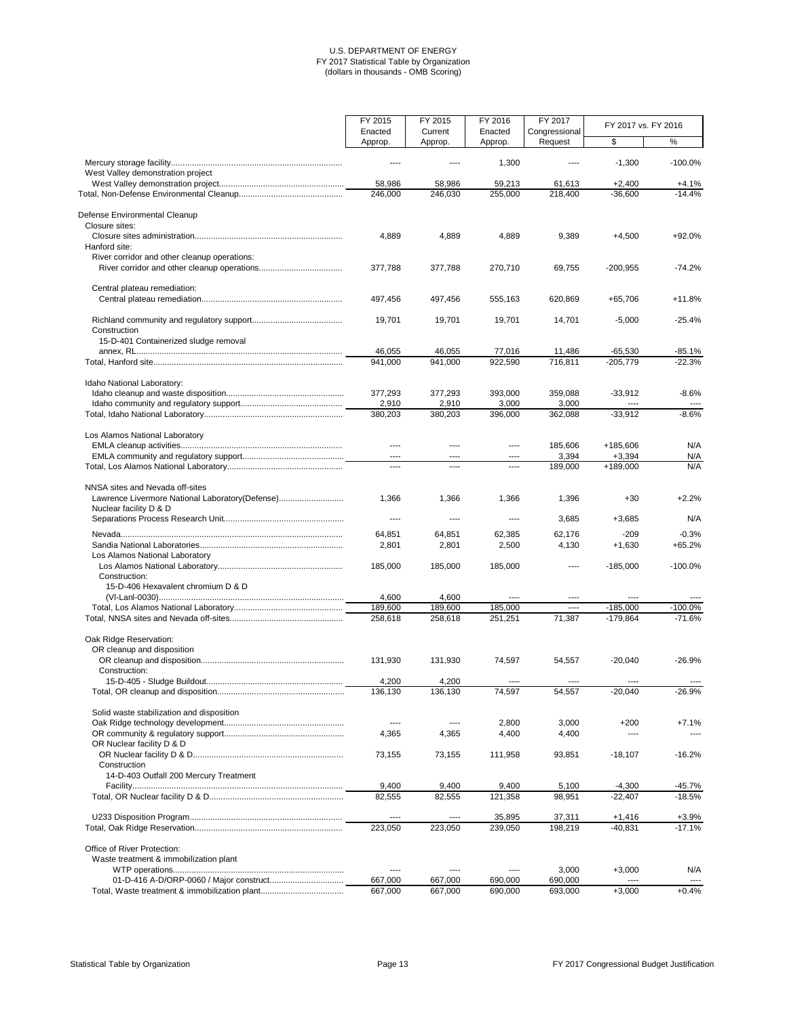|                                                 | FY 2015            | FY 2015            | FY 2016            | FY 2017                  | FY 2017 vs. FY 2016 |           |
|-------------------------------------------------|--------------------|--------------------|--------------------|--------------------------|---------------------|-----------|
|                                                 | Enacted<br>Approp. | Current<br>Approp. | Enacted<br>Approp. | Congressional<br>Request | \$                  | $\%$      |
|                                                 |                    |                    |                    |                          |                     |           |
| West Valley demonstration project               |                    |                    | 1,300              |                          | $-1,300$            | $-100.0%$ |
|                                                 | 58,986             | 58,986             | 59,213             | 61,613                   | $+2,400$            | $+4.1%$   |
|                                                 | 246,000            | 246,030            | 255,000            | 218,400                  | $-36,600$           | $-14.4%$  |
|                                                 |                    |                    |                    |                          |                     |           |
| Defense Environmental Cleanup                   |                    |                    |                    |                          |                     |           |
| Closure sites:                                  |                    |                    |                    |                          |                     |           |
|                                                 | 4,889              | 4,889              | 4,889              | 9,389                    | $+4,500$            | +92.0%    |
| Hanford site:                                   |                    |                    |                    |                          |                     |           |
| River corridor and other cleanup operations:    |                    |                    |                    |                          |                     |           |
|                                                 | 377,788            | 377,788            | 270,710            | 69,755                   | $-200,955$          | $-74.2%$  |
| Central plateau remediation:                    |                    |                    |                    |                          |                     |           |
|                                                 | 497,456            | 497,456            | 555,163            | 620,869                  | $+65,706$           | $+11.8%$  |
|                                                 |                    |                    |                    |                          |                     |           |
|                                                 | 19,701             | 19,701             | 19,701             | 14,701                   | $-5,000$            | $-25.4%$  |
| Construction                                    |                    |                    |                    |                          |                     |           |
| 15-D-401 Containerized sludge removal           |                    |                    |                    |                          |                     |           |
|                                                 | 46,055             | 46,055             | 77,016             | 11,486                   | $-65,530$           | $-85.1%$  |
|                                                 | 941,000            | 941,000            | 922,590            | 716,811                  | $-205,779$          | $-22.3%$  |
|                                                 |                    |                    |                    |                          |                     |           |
| Idaho National Laboratory:                      |                    |                    |                    |                          |                     |           |
|                                                 | 377,293            | 377,293            | 393,000            | 359,088                  | $-33,912$           | $-8.6%$   |
|                                                 | 2,910              | 2,910              | 3,000              | 3,000                    | ----                |           |
|                                                 | 380,203            | 380,203            | 396,000            | 362,088                  | $-33,912$           | $-8.6%$   |
| Los Alamos National Laboratory                  |                    |                    |                    |                          |                     |           |
|                                                 |                    |                    | ----               | 185,606                  | +185,606            | N/A       |
|                                                 | $\cdots$           | ----               | $---$              | 3,394                    | $+3,394$            | N/A       |
|                                                 | $\cdots$           | ----               | $\cdots$           | 189,000                  | $+189,000$          | N/A       |
|                                                 |                    |                    |                    |                          |                     |           |
| NNSA sites and Nevada off-sites                 |                    |                    |                    |                          |                     |           |
| Lawrence Livermore National Laboratory(Defense) | 1,366              | 1,366              | 1,366              | 1,396                    | $+30$               | $+2.2%$   |
| Nuclear facility D & D                          |                    |                    |                    |                          |                     |           |
|                                                 | $---$              | ----               | $---$              | 3,685                    | $+3,685$            | N/A       |
|                                                 | 64,851             | 64,851             | 62,385             | 62,176                   | $-209$              | $-0.3%$   |
|                                                 | 2,801              | 2,801              | 2,500              | 4,130                    | $+1,630$            | $+65.2%$  |
| Los Alamos National Laboratory                  |                    |                    |                    |                          |                     |           |
|                                                 | 185,000            | 185,000            | 185,000            | ----                     | $-185,000$          | $-100.0%$ |
| Construction:                                   |                    |                    |                    |                          |                     |           |
| 15-D-406 Hexavalent chromium D & D              |                    |                    |                    |                          |                     |           |
|                                                 | 4,600              | 4,600              |                    | ----                     | ----                |           |
|                                                 | 189,600            | 189,600            | 185,000            | ----                     | $-185,000$          | $-100.0%$ |
|                                                 | 258,618            | 258,618            | 251,251            | 71,387                   | $-179,864$          | $-71.6%$  |
|                                                 |                    |                    |                    |                          |                     |           |
| Oak Ridge Reservation:                          |                    |                    |                    |                          |                     |           |
| OR cleanup and disposition                      |                    |                    |                    |                          |                     |           |
|                                                 | 131,930            | 131,930            | 74,597             | 54,557                   | $-20,040$           | $-26.9%$  |
| Construction:                                   |                    |                    |                    |                          |                     |           |
|                                                 | 4,200              | 4,200              | ----               | ----                     | $---$               |           |
|                                                 | 136,130            | 136,130            | 74,597             | 54,557                   | $-20,040$           | $-26.9%$  |
| Solid waste stabilization and disposition       |                    |                    |                    |                          |                     |           |
|                                                 |                    |                    | 2,800              | 3,000                    | $+200$              | $+7.1%$   |
|                                                 | 4,365              | 4,365              | 4,400              | 4,400                    | ----                |           |
| OR Nuclear facility D & D                       |                    |                    |                    |                          |                     |           |

|                                        | 73.155  | 73.155  | 111.958 | 93.851  | $-18.107$ | -16.2%    |
|----------------------------------------|---------|---------|---------|---------|-----------|-----------|
| Construction                           |         |         |         |         |           |           |
| 14-D-403 Outfall 200 Mercury Treatment |         |         |         |         |           |           |
|                                        | 9,400   | 9.400   | 9.400   | 5.100   | -4.300    | -45.7%    |
|                                        | 82.555  | 82.555  | 121,358 | 98.951  | $-22.407$ | $-18.5\%$ |
|                                        | ----    |         | 35.895  | 37.311  | +1.416    | +3.9%     |
|                                        | 223,050 | 223.050 | 239,050 | 198.219 | -40.831   | $-17.1\%$ |
| Office of River Protection:            |         |         |         |         |           |           |
| Waste treatment & immobilization plant |         |         |         |         |           |           |
|                                        | ----    |         |         | 3,000   | $+3.000$  | N/A       |
|                                        | 667.000 | 667.000 | 690,000 | 690,000 | ----      | ----      |
|                                        | 667,000 | 667.000 | 690,000 | 693,000 | $+3.000$  | $+0.4%$   |

Statistical Table by Organization **Page 13** Page 13 **Page 13** Page 13 **FY 2017** Congressional Budget Justification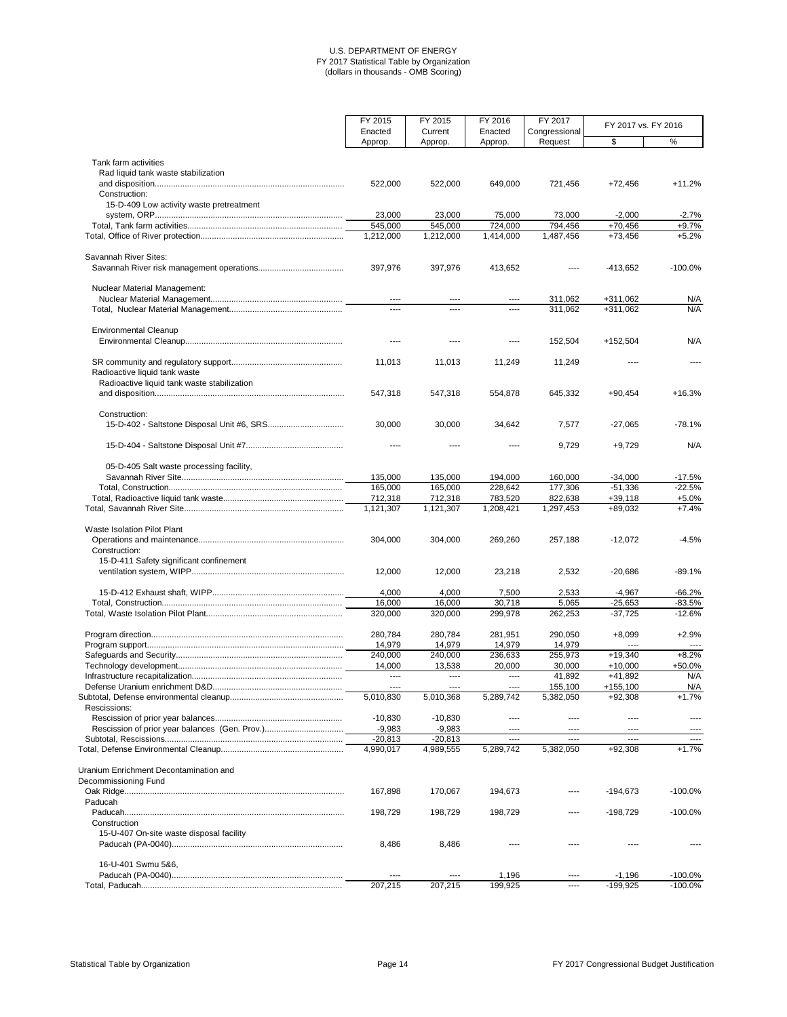|                                                             | FY 2015           | FY 2015           | FY 2016           | FY 2017              |                         | FY 2017 vs. FY 2016 |  |
|-------------------------------------------------------------|-------------------|-------------------|-------------------|----------------------|-------------------------|---------------------|--|
|                                                             | Enacted           | Current           | Enacted           | Congressional        |                         |                     |  |
|                                                             | Approp.           | Approp.           | Approp.           | Request              | \$                      | %                   |  |
| Tank farm activities<br>Rad liquid tank waste stabilization |                   |                   |                   |                      |                         |                     |  |
|                                                             | 522,000           | 522,000           | 649,000           | 721,456              | $+72,456$               | $+11.2%$            |  |
| Construction:                                               |                   |                   |                   |                      |                         |                     |  |
| 15-D-409 Low activity waste pretreatment                    |                   |                   |                   |                      |                         |                     |  |
|                                                             | 23,000<br>545,000 | 23,000<br>545,000 | 75,000<br>724,000 | 73,000<br>794,456    | $-2,000$<br>$+70,456$   | $-2.7%$<br>$+9.7%$  |  |
|                                                             | 1,212,000         | 1,212,000         | 1,414,000         | 1,487,456            | $+73,456$               | $+5.2%$             |  |
|                                                             |                   |                   |                   |                      |                         |                     |  |
| <b>Savannah River Sites:</b>                                | 397,976           | 397,976           | 413,652           |                      | $-413,652$              | $-100.0\%$          |  |
| <b>Nuclear Material Management:</b>                         | $---$             |                   | $---$             | 311,062              | $+311,062$              | N/A                 |  |
|                                                             | ----              | ----              | $\cdots$          | 311,062              | $+311,062$              | N/A                 |  |
| <b>Environmental Cleanup</b>                                |                   |                   | $\cdots$          | 152,504              | +152,504                | N/A                 |  |
| Radioactive liquid tank waste                               | 11,013            | 11,013            | 11,249            | 11,249               | ----                    | $\cdots$            |  |
| Radioactive liquid tank waste stabilization                 |                   |                   |                   |                      |                         |                     |  |
|                                                             | 547,318           | 547,318           | 554,878           | 645,332              | $+90,454$               | $+16.3%$            |  |
| Construction:                                               |                   |                   |                   |                      |                         |                     |  |
|                                                             | 30,000            | 30,000            | 34,642            | 7,577                | $-27,065$               | $-78.1%$            |  |
|                                                             |                   |                   |                   | 9,729                | $+9,729$                | N/A                 |  |
| 05-D-405 Salt waste processing facility,                    |                   |                   |                   |                      |                         |                     |  |
|                                                             | 135,000           | 135,000           | 194,000           | 160,000              | $-34,000$               | $-17.5%$            |  |
|                                                             | 165,000           | 165,000           | 228.642           | 177,306              | $-51,336$               | $-22.5%$            |  |
|                                                             | 712,318           | 712,318           | 783,520           | 822,638              | $+39,118$               | $+5.0%$             |  |
|                                                             | 1,121,307         | 1,121,307         | 1,208,421         | 1,297,453            | +89,032                 | $+7.4%$             |  |
| <b>Waste Isolation Pilot Plant</b><br>Construction:         | 304,000           | 304,000           | 269,260           | 257,188              | $-12,072$               | $-4.5%$             |  |
| 15-D-411 Safety significant confinement                     | 12,000            | 12,000            | 23,218            | 2,532                | $-20,686$               | $-89.1%$            |  |
|                                                             | 4,000             | 4,000             | 7,500             | 2,533                | $-4,967$                | $-66.2%$            |  |
|                                                             | 16,000            | 16,000            | 30,718            | 5,065                | $-25,653$               | $-83.5%$            |  |
|                                                             | 320,000           | 320,000           | 299,978           | 262,253              | $-37,725$               | $-12.6%$            |  |
|                                                             | 280,784           | 280,784           | 281,951           | 290,050              | $+8,099$                | $+2.9%$             |  |
|                                                             | 14,979            | 14,979            | 14,979            | 14,979               | ----                    |                     |  |
|                                                             | 240,000           | 240,000           | 236,633           | 255,973              | $+19,340$               | $+8.2%$             |  |
|                                                             | 14,000            | 13,538            | 20,000            | 30,000               | $+10,000$               | +50.0%              |  |
|                                                             |                   | ----              | $\cdots$          | 41,892               | $+41,892$               | N/A                 |  |
|                                                             | 5,010,830         | 5,010,368         | 5,289,742         | 155,100<br>5,382,050 | $+155,100$<br>$+92,308$ | N/A<br>$+1.7%$      |  |
| Rescissions:                                                | $-10,830$         | $-10,830$         | $---$             | ----                 | ----                    |                     |  |
|                                                             | $-9,983$          | $-9,983$          | $---$             | ----                 | ----                    |                     |  |
|                                                             | $-20,813$         | $-20,813$         | $\cdots$          | ----                 | $- - - -$               |                     |  |
|                                                             | 4,990,017         | 4,989,555         | 5,289,742         | 5,382,050            | $+92,308$               | $+1.7%$             |  |
| Uranium Enrichment Decontamination and                      |                   |                   |                   |                      |                         |                     |  |
| Decommissioning Fund                                        |                   |                   |                   |                      |                         |                     |  |
|                                                             | 167,898           | 170,067           | 194,673           | ----                 | $-194,673$              | $-100.0%$           |  |
| Paducah                                                     |                   |                   |                   |                      |                         |                     |  |
| Construction                                                | 198,729           | 198,729           | 198,729           | ----                 | $-198,729$              | $-100.0%$           |  |
| 15-U-407 On-site waste disposal facility                    |                   |                   |                   |                      |                         |                     |  |
|                                                             | 8,486             | 8,486             |                   |                      |                         |                     |  |
| 16-U-401 Swmu 5&6,                                          |                   |                   |                   |                      |                         |                     |  |
|                                                             | ----              | ----              | 1,196             | $\cdots$             | $-1,196$                | $-100.0%$           |  |
|                                                             | 207,215           | 207,215           | 199,925           | $\cdots$             | $-199,925$              | $-100.0%$           |  |

Statistical Table by Organization **Page 14** Page 14 **Page 14** Page 14 **FY 2017** Congressional Budget Justification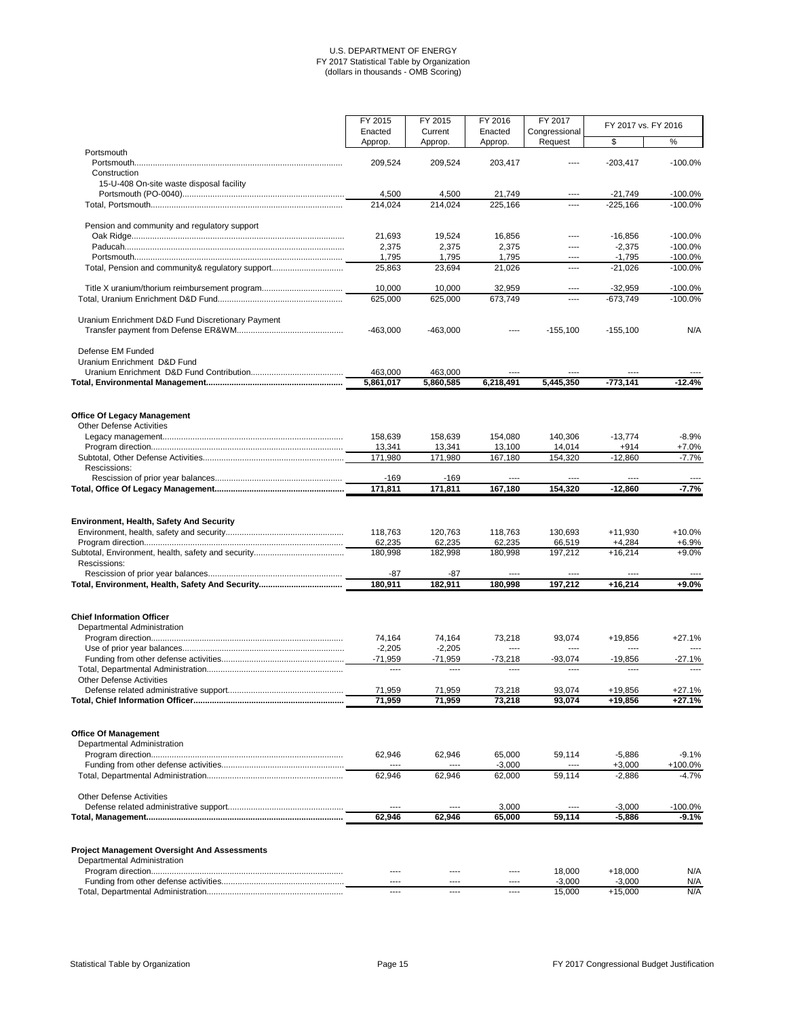|                                                                       | FY 2015           | FY 2015           | FY 2016           | FY 2017           |                     |                    |  |
|-----------------------------------------------------------------------|-------------------|-------------------|-------------------|-------------------|---------------------|--------------------|--|
|                                                                       | Enacted           | Current           | Enacted           | Congressional     | FY 2017 vs. FY 2016 |                    |  |
|                                                                       | Approp.           | Approp.           | Approp.           | Request           | \$                  | $\frac{1}{2}$      |  |
| Portsmouth                                                            |                   |                   |                   |                   |                     |                    |  |
|                                                                       | 209,524           | 209,524           | 203,417           | ----              | $-203,417$          | $-100.0%$          |  |
| Construction                                                          |                   |                   |                   |                   |                     |                    |  |
| 15-U-408 On-site waste disposal facility                              |                   |                   |                   |                   |                     |                    |  |
|                                                                       | 4,500             | 4,500             | 21,749            | ----              | $-21,749$           | $-100.0%$          |  |
|                                                                       | 214,024           | 214,024           | 225,166           | ----              | $-225,166$          | $-100.0%$          |  |
| Pension and community and regulatory support                          |                   |                   |                   |                   |                     |                    |  |
|                                                                       | 21,693            | 19,524            | 16,856            | ----              | $-16,856$           | $-100.0%$          |  |
|                                                                       | 2,375             | 2,375             | 2,375             | ----              | $-2,375$            | $-100.0%$          |  |
|                                                                       | 1,795             | 1,795             | 1,795             | ----              | $-1,795$            | $-100.0%$          |  |
| Total, Pension and community& regulatory support                      | 25,863            | 23,694            | 21,026            | ----              | $-21,026$           | $-100.0%$          |  |
|                                                                       | 10,000            | 10,000            | 32,959            | ----              | $-32,959$           | $-100.0%$          |  |
|                                                                       | 625,000           | 625,000           | 673,749           | ----              | $-673,749$          | $-100.0%$          |  |
| Uranium Enrichment D&D Fund Discretionary Payment                     |                   |                   |                   |                   |                     |                    |  |
|                                                                       | $-463,000$        | $-463,000$        | ----              | $-155,100$        | $-155,100$          | N/A                |  |
| Defense EM Funded                                                     |                   |                   |                   |                   |                     |                    |  |
| Uranium Enrichment D&D Fund                                           |                   |                   |                   |                   |                     |                    |  |
|                                                                       | 463,000           | 463,000           |                   |                   |                     |                    |  |
|                                                                       | 5,861,017         | 5,860,585         | 6,218,491         | 5,445,350         | $-773,141$          | $-12.4%$           |  |
| <b>Office Of Legacy Management</b><br><b>Other Defense Activities</b> | 158,639<br>13,341 | 158,639<br>13,341 | 154,080<br>13,100 | 140,306<br>14,014 | $-13,774$<br>$+914$ | $-8.9%$<br>$+7.0%$ |  |
|                                                                       | 171,980           | 171,980           | 167,180           | 154,320           | $-12,860$           | $-7.7%$            |  |
| Rescissions:                                                          |                   |                   |                   |                   |                     |                    |  |
|                                                                       | $-169$            | $-169$            |                   |                   |                     |                    |  |
|                                                                       | 171,811           | 171,811           | 167,180           | 154,320           | $-12,860$           | $-7.7%$            |  |
|                                                                       |                   |                   |                   |                   |                     |                    |  |
| <b>Environment, Health, Safety And Security</b>                       |                   |                   |                   |                   |                     |                    |  |
|                                                                       | 118,763           | 120,763           | 118,763           | 130,693           | $+11,930$           | $+10.0%$           |  |
|                                                                       | 62,235            | 62,235            | 62,235            | 66,519            | $+4,284$            | $+6.9%$            |  |
| Rescissions:                                                          | 180,998           | 182,998           | 180,998           | 197,212           | $+16,214$           | $+9.0%$            |  |
|                                                                       | $-87$             | $-87$             | ----              | ----              | ----                |                    |  |
|                                                                       | 180,911           | 182,911           | 180,998           | 197,212           | $+16,214$           | $+9.0%$            |  |
| <b>Chief Information Officer</b><br>Departmental Administration       |                   |                   |                   |                   |                     |                    |  |
|                                                                       | 74,164            | 74,164            | 73,218            | 93,074            | +19,856             | $+27.1%$           |  |
|                                                                       | $-2,205$          | $-2,205$          | ----              | ----              | ----                |                    |  |
|                                                                       | $-71,959$         | $-71,959$         | $-73,218$         | $-93,074$         | $-19,856$           | $-27.1%$           |  |
| <b>Other Defense Activities</b>                                       | $---$             | ----              | ----              | ----              | ----                | $---$              |  |
|                                                                       | 71,959            | 71,959            | 73,218            | 93,074            | +19,856             | $+27.1%$           |  |
|                                                                       | 71,959            | 71,959            | 73,218            | 93,074            | +19,856             | $+27.1%$           |  |
|                                                                       |                   |                   |                   |                   |                     |                    |  |

**Office Of Management**

Departmental Administration

|                                 | 62.946    | 62.946        | 65,000   | 59,114        | $-5.886$ | $-9.1\%$ |
|---------------------------------|-----------|---------------|----------|---------------|----------|----------|
|                                 | $\cdots$  | $\frac{1}{2}$ | $-3,000$ | $- - - -$     | $+3.000$ | +100.0%  |
|                                 | 62.946    | 62.946        | 62.000   | 59.114        | $-2.886$ | -4.7%    |
| <b>Other Defense Activities</b> |           |               |          |               |          |          |
|                                 | $- - - -$ | $---$         | 3.000    | $\frac{1}{2}$ | $-3.000$ | -100.0%  |
|                                 | 62.946    | 62.946        | 65.000   | 59.114        | $-5.886$ | $-9.1%$  |
|                                 |           |               |          |               |          |          |

# **Project Management Oversight And Assessments**

| Administration<br>Departmental |       |           |           |        |         |     |
|--------------------------------|-------|-----------|-----------|--------|---------|-----|
| Program                        | ----  | ----      | ----      | 18.000 | -18.000 | N/A |
|                                | ----- | $- - - -$ | $- - - -$ | 3.000  | 3.00C   | N/A |
|                                | ----  | ----      | $- - - -$ | 15,000 | 5.000   | N/A |

# Statistical Table by Organization **Page 15** Page 15 **Page 15** Page 15 **FY 2017 Congressional Budget Justification**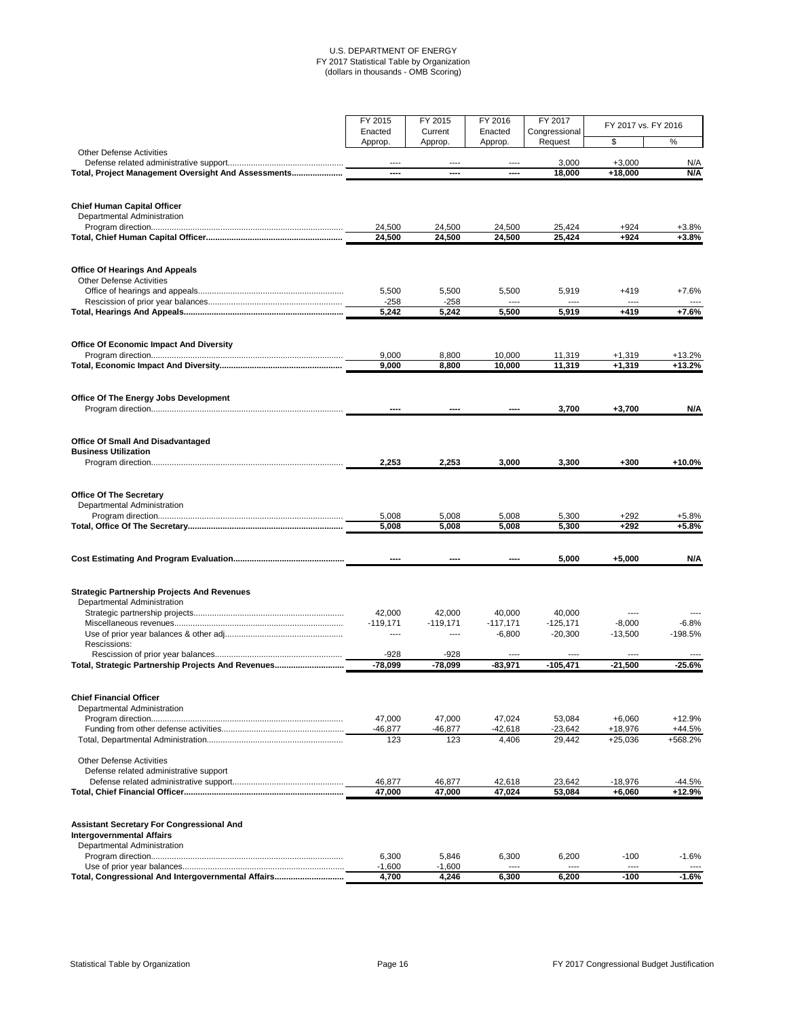|                                                                          | FY 2015            | FY 2015            | FY 2016            | FY 2017                  | FY 2017 vs. FY 2016  |                      |
|--------------------------------------------------------------------------|--------------------|--------------------|--------------------|--------------------------|----------------------|----------------------|
|                                                                          | Enacted<br>Approp. | Current<br>Approp. | Enacted<br>Approp. | Congressional<br>Request | \$                   | %                    |
| <b>Other Defense Activities</b>                                          |                    |                    |                    |                          |                      |                      |
|                                                                          | $---$              | ----               | ----               | 3,000                    | $+3,000$             | N/A                  |
| Total, Project Management Oversight And Assessments                      | ----               | ----               | ----               | 18,000                   | $+18,000$            | N/A                  |
| <b>Chief Human Capital Officer</b>                                       |                    |                    |                    |                          |                      |                      |
| Departmental Administration                                              |                    |                    |                    |                          |                      |                      |
|                                                                          | 24,500<br>24,500   | 24,500<br>24,500   | 24,500<br>24,500   | 25,424<br>25,424         | $+924$<br>$+924$     | $+3.8%$<br>$+3.8%$   |
|                                                                          |                    |                    |                    |                          |                      |                      |
| <b>Office Of Hearings And Appeals</b><br><b>Other Defense Activities</b> |                    |                    |                    |                          |                      |                      |
|                                                                          | 5,500              | 5,500              | 5,500              | 5,919                    | $+419$               | $+7.6%$              |
|                                                                          | $-258$<br>5,242    | $-258$<br>5,242    | 5,500              | 5,919                    | $+419$               | $+7.6%$              |
|                                                                          |                    |                    |                    |                          |                      |                      |
| <b>Office Of Economic Impact And Diversity</b>                           |                    |                    |                    |                          |                      |                      |
|                                                                          | 9,000<br>9,000     | 8,800<br>8,800     | 10,000<br>10,000   | 11,319<br>11,319         | $+1,319$<br>$+1,319$ | $+13.2%$<br>$+13.2%$ |
|                                                                          |                    |                    |                    |                          |                      |                      |
| <b>Office Of The Energy Jobs Development</b>                             |                    |                    |                    |                          |                      |                      |
|                                                                          |                    |                    |                    | 3,700                    | $+3,700$             | N/A                  |
| <b>Office Of Small And Disadvantaged</b>                                 |                    |                    |                    |                          |                      |                      |
| <b>Business Utilization</b>                                              |                    |                    |                    |                          |                      |                      |
|                                                                          | 2,253              | 2,253              | 3,000              | 3,300                    | $+300$               | $+10.0%$             |
| <b>Office Of The Secretary</b>                                           |                    |                    |                    |                          |                      |                      |
| Departmental Administration                                              |                    |                    |                    |                          |                      |                      |
|                                                                          | 5,008<br>5,008     | 5,008<br>5,008     | 5,008<br>5,008     | 5,300<br>5,300           | $+292$<br>$+292$     | $+5.8%$<br>$+5.8%$   |
|                                                                          |                    |                    |                    |                          |                      |                      |
|                                                                          | ----               |                    |                    | 5,000                    | $+5,000$             | N/A                  |
| <b>Strategic Partnership Projects And Revenues</b>                       |                    |                    |                    |                          |                      |                      |
| Departmental Administration                                              |                    |                    |                    |                          |                      |                      |
|                                                                          | 42,000             | 42,000             | 40,000             | 40,000                   |                      |                      |
|                                                                          | $-119,171$         | $-119,171$         | $-117,171$         | $-125,171$               | $-8,000$             | $-6.8%$              |
| Rescissions:                                                             | $- - - -$          | ----               | $-6,800$           | $-20,300$                | $-13,500$            | $-198.5%$            |
|                                                                          | $-928$             | $-928$             |                    |                          | ----                 |                      |
| Total, Strategic Partnership Projects And Revenues                       | $-78,099$          | $-78,099$          | $-83,971$          | $-105,471$               | $-21,500$            | $-25.6%$             |
| <b>Chief Financial Officer</b>                                           |                    |                    |                    |                          |                      |                      |
| Departmental Administration                                              |                    |                    |                    |                          |                      |                      |
|                                                                          | 47,000             | 47,000             | 47,024             | 53,084                   | $+6,060$             | $+12.9%$             |
|                                                                          | $-46,877$<br>123   | $-46,877$<br>123   | $-42,618$<br>4,406 | $-23,642$                | +18,976              | $+44.5%$<br>+568.2%  |
|                                                                          |                    |                    |                    | 29,442                   | $+25,036$            |                      |

| <b>Other Defense Activities</b>                                                      |          |          |        |        |          |          |
|--------------------------------------------------------------------------------------|----------|----------|--------|--------|----------|----------|
| Defense related administrative support                                               |          |          |        |        |          |          |
|                                                                                      | 46.877   | 46.877   | 42.618 | 23.642 | -18.976  | -44.5%   |
|                                                                                      | 47,000   | 47,000   | 47,024 | 53,084 | $+6.060$ | $+12.9%$ |
| <b>Assistant Secretary For Congressional And</b><br><b>Intergovernmental Affairs</b> |          |          |        |        |          |          |
| Departmental Administration                                                          |          |          |        |        |          |          |
|                                                                                      | 6.300    | 5.846    | 6.300  | 6.200  | $-100$   | -1.6%    |
|                                                                                      | $-1.600$ | $-1.600$ | ----   | ----   | ----     | $\cdots$ |
| Total, Congressional And Intergovernmental Affairs                                   | 4,700    | 4,246    | 6.300  | 6.200  | -100     | $-1.6%$  |

# Statistical Table by Organization **Page 16** Page 16 **Page 16** FY 2017 Congressional Budget Justification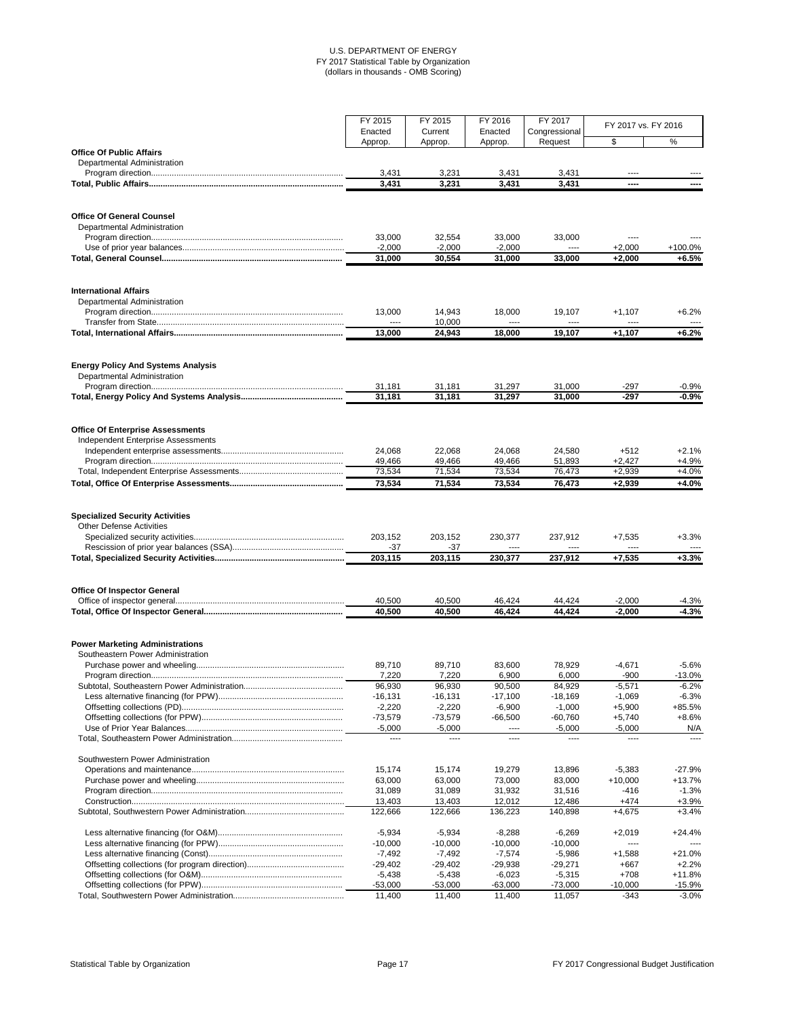|                                                                           | FY 2015<br>Enacted | FY 2015<br>Current | FY 2016<br>Enacted | FY 2017<br>Congressional | FY 2017 vs. FY 2016 |          |
|---------------------------------------------------------------------------|--------------------|--------------------|--------------------|--------------------------|---------------------|----------|
|                                                                           | Approp.            | Approp.            | Approp.            | Request                  | \$                  | $\%$     |
| <b>Office Of Public Affairs</b>                                           |                    |                    |                    |                          |                     |          |
| Departmental Administration                                               |                    |                    |                    |                          |                     |          |
|                                                                           | 3,431              | 3,231              | 3,431              | 3,431                    | ----                |          |
|                                                                           | 3,431              | 3,231              | 3,431              | 3,431                    | ----                |          |
|                                                                           |                    |                    |                    |                          |                     |          |
| <b>Office Of General Counsel</b>                                          |                    |                    |                    |                          |                     |          |
| Departmental Administration                                               | 33,000             | 32,554             | 33,000             | 33,000                   |                     |          |
|                                                                           | $-2,000$           | $-2,000$           | $-2,000$           | ----                     | $+2,000$            | +100.0%  |
|                                                                           | 31,000             | 30,554             | 31,000             | 33,000                   | $+2,000$            | $+6.5%$  |
|                                                                           |                    |                    |                    |                          |                     |          |
| <b>International Affairs</b>                                              |                    |                    |                    |                          |                     |          |
| Departmental Administration                                               |                    |                    |                    |                          |                     |          |
|                                                                           | 13,000             | 14,943             | 18,000             | 19,107                   | $+1,107$            | $+6.2%$  |
|                                                                           | $---$              | 10,000             | ----               |                          | ----                |          |
|                                                                           | 13,000             | 24,943             | 18,000             | 19,107                   | $+1,107$            | $+6.2%$  |
| <b>Energy Policy And Systems Analysis</b>                                 |                    |                    |                    |                          |                     |          |
| Departmental Administration                                               | 31,181             | 31,181             | 31,297             | 31,000                   | $-297$              | $-0.9%$  |
|                                                                           | 31,181             | 31,181             | 31,297             | 31,000                   | $-297$              | $-0.9%$  |
|                                                                           |                    |                    |                    |                          |                     |          |
| <b>Office Of Enterprise Assessments</b>                                   |                    |                    |                    |                          |                     |          |
| <b>Independent Enterprise Assessments</b>                                 |                    |                    |                    |                          |                     |          |
|                                                                           | 24,068             | 22,068             | 24,068             | 24,580                   | $+512$              | $+2.1%$  |
|                                                                           | 49,466             | 49,466             | 49,466             | 51,893                   | $+2,427$            | $+4.9%$  |
|                                                                           | 73,534             | 71,534             | 73,534             | 76,473                   | $+2,939$            | $+4.0%$  |
|                                                                           | 73,534             | 71,534             | 73,534             | 76,473                   | $+2,939$            | $+4.0%$  |
| <b>Specialized Security Activities</b><br><b>Other Defense Activities</b> |                    |                    |                    |                          |                     |          |
|                                                                           | 203,152            | 203,152            | 230,377            | 237,912                  | $+7,535$            | $+3.3%$  |
|                                                                           | $-37$              | $-37$              | ----               | ----                     | $---$               |          |
|                                                                           | 203,115            | 203,115            | 230,377            | 237,912                  | $+7,535$            | $+3.3%$  |
|                                                                           |                    |                    |                    |                          |                     |          |
| <b>Office Of Inspector General</b>                                        |                    |                    |                    |                          |                     |          |
|                                                                           | 40,500             | 40,500             | 46,424             | 44,424                   | $-2,000$            | $-4.3%$  |
|                                                                           | 40,500             | 40,500             | 46,424             | 44,424                   | $-2,000$            | $-4.3%$  |
| <b>Power Marketing Administrations</b>                                    |                    |                    |                    |                          |                     |          |
| Southeastern Power Administration                                         |                    |                    |                    |                          |                     |          |
|                                                                           | 89,710             | 89,710             | 83,600             | 78,929                   | $-4,671$            | $-5.6%$  |
|                                                                           | 7,220              | 7,220              | 6,900              | 6,000                    | $-900$              | $-13.0%$ |
|                                                                           | 96,930             | 96,930             | 90,500             | 84,929                   | $-5,571$            | $-6.2%$  |
|                                                                           | $-16,131$          | $-16,131$          | $-17,100$          | $-18,169$                | $-1,069$            | $-6.3%$  |
|                                                                           | $-2,220$           | $-2,220$           | $-6,900$           | $-1,000$                 | $+5,900$            | +85.5%   |
|                                                                           | $-73,579$          | $-73,579$          | $-66,500$          | $-60,760$                | $+5,740$            | $+8.6%$  |
|                                                                           | $-5,000$           | $-5,000$           | ----               | $-5,000$                 | $-5,000$            | N/A      |
|                                                                           | $---$              | $---$              | ----               | ----                     | ----                |          |

#### Southwestern Power Administration

# Statistical Table by Organization **Page 17** Page 17 **Page 17** Page 17 **FY 2017 Congressional Budget Justification**

| 15.174    | 15.174    | 19.279    | 13.896    | $-5.383$  | -27.9%    |
|-----------|-----------|-----------|-----------|-----------|-----------|
| 63,000    | 63.000    | 73,000    | 83,000    | $+10.000$ | $+13.7\%$ |
| 31.089    | 31.089    | 31.932    | 31.516    | $-416$    | $-1.3\%$  |
| 13.403    | 13.403    | 12.012    | 12.486    | +474      | +3.9%     |
| 122,666   | 122.666   | 136.223   | 140.898   | $+4.675$  | +3.4%     |
| $-5.934$  | $-5.934$  | $-8.288$  | $-6.269$  | $+2.019$  | $+24.4\%$ |
| $-10.000$ | $-10.000$ | $-10.000$ | $-10.000$ | ----      |           |
| -7.492    | -7.492    | $-7.574$  | $-5.986$  | $+1.588$  | $+21.0\%$ |
| $-29.402$ | $-29.402$ | -29.938   | $-29.271$ | $+667$    | $+2.2%$   |
| $-5.438$  | $-5.438$  | $-6.023$  | $-5.315$  | $+708$    | $+11.8%$  |
| $-53.000$ | $-53.000$ | $-63.000$ | $-73.000$ | $-10.000$ | -15.9%    |
| 11.400    | 11.400    | 11.400    | 11.057    | -343      | $-3.0\%$  |
|           |           |           |           |           |           |